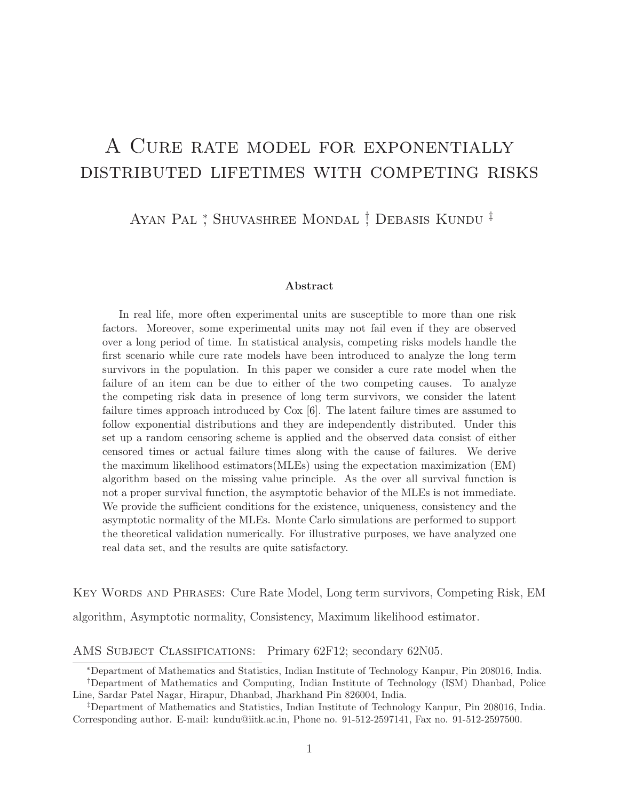# A Cure rate model for exponentially distributed lifetimes with competing risks

Ayan Pal<sup>\*</sup>, Shuvashree Mondal<sup>†</sup>, Debasis Kundu<sup>†</sup>

#### Abstract

In real life, more often experimental units are susceptible to more than one risk factors. Moreover, some experimental units may not fail even if they are observed over a long period of time. In statistical analysis, competing risks models handle the first scenario while cure rate models have been introduced to analyze the long term survivors in the population. In this paper we consider a cure rate model when the failure of an item can be due to either of the two competing causes. To analyze the competing risk data in presence of long term survivors, we consider the latent failure times approach introduced by Cox [\[6\]](#page-30-0). The latent failure times are assumed to follow exponential distributions and they are independently distributed. Under this set up a random censoring scheme is applied and the observed data consist of either censored times or actual failure times along with the cause of failures. We derive the maximum likelihood estimators(MLEs) using the expectation maximization (EM) algorithm based on the missing value principle. As the over all survival function is not a proper survival function, the asymptotic behavior of the MLEs is not immediate. We provide the sufficient conditions for the existence, uniqueness, consistency and the asymptotic normality of the MLEs. Monte Carlo simulations are performed to support the theoretical validation numerically. For illustrative purposes, we have analyzed one real data set, and the results are quite satisfactory.

Key Words and Phrases: Cure Rate Model, Long term survivors, Competing Risk, EM algorithm, Asymptotic normality, Consistency, Maximum likelihood estimator.

AMS SUBJECT CLASSIFICATIONS: Primary 62F12; secondary 62N05.

<sup>\*</sup> Department of Mathematics and Statistics, Indian Institute of Technology Kanpur, Pin 208016, India.

<sup>&</sup>lt;sup>†</sup>Department of Mathematics and Computing, Indian Institute of Technology (ISM) Dhanbad, Police Line, Sardar Patel Nagar, Hirapur, Dhanbad, Jharkhand Pin 826004, India.

Department of Mathematics and Statistics, Indian Institute of Technology Kanpur, Pin 208016, India. Corresponding author. E-mail: kundu@iitk.ac.in, Phone no. 91-512-2597141, Fax no. 91-512-2597500.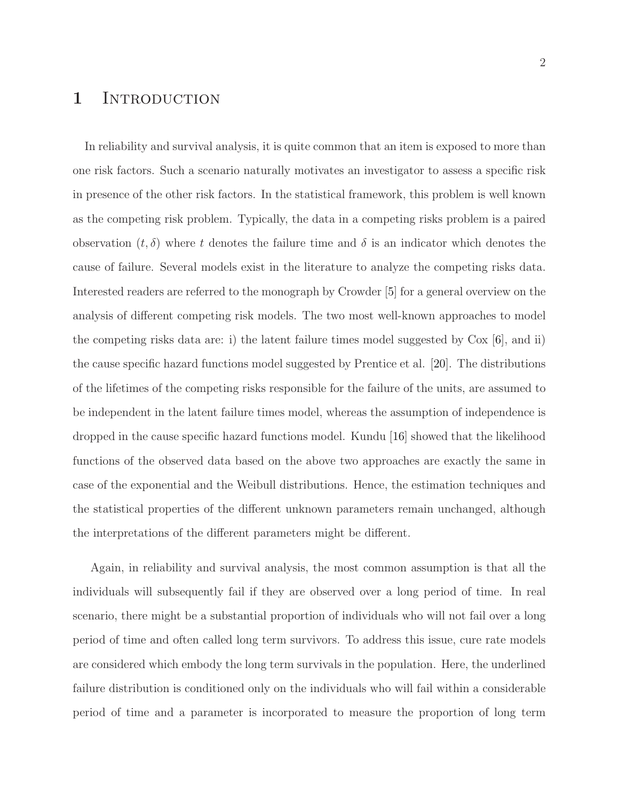# 1 INTRODUCTION

In reliability and survival analysis, it is quite common that an item is exposed to more than one risk factors. Such a scenario naturally motivates an investigator to assess a specific risk in presence of the other risk factors. In the statistical framework, this problem is well known as the competing risk problem. Typically, the data in a competing risks problem is a paired observation  $(t, \delta)$  where t denotes the failure time and  $\delta$  is an indicator which denotes the cause of failure. Several models exist in the literature to analyze the competing risks data. Interested readers are referred to the monograph by Crowder [\[5\]](#page-29-0) for a general overview on the analysis of different competing risk models. The two most well-known approaches to model the competing risks data are: i) the latent failure times model suggested by Cox [\[6\]](#page-30-0), and ii) the cause specific hazard functions model suggested by Prentice et al. [\[20\]](#page-31-0). The distributions of the lifetimes of the competing risks responsible for the failure of the units, are assumed to be independent in the latent failure times model, whereas the assumption of independence is dropped in the cause specific hazard functions model. Kundu [\[16\]](#page-31-1) showed that the likelihood functions of the observed data based on the above two approaches are exactly the same in case of the exponential and the Weibull distributions. Hence, the estimation techniques and the statistical properties of the different unknown parameters remain unchanged, although the interpretations of the different parameters might be different.

Again, in reliability and survival analysis, the most common assumption is that all the individuals will subsequently fail if they are observed over a long period of time. In real scenario, there might be a substantial proportion of individuals who will not fail over a long period of time and often called long term survivors. To address this issue, cure rate models are considered which embody the long term survivals in the population. Here, the underlined failure distribution is conditioned only on the individuals who will fail within a considerable period of time and a parameter is incorporated to measure the proportion of long term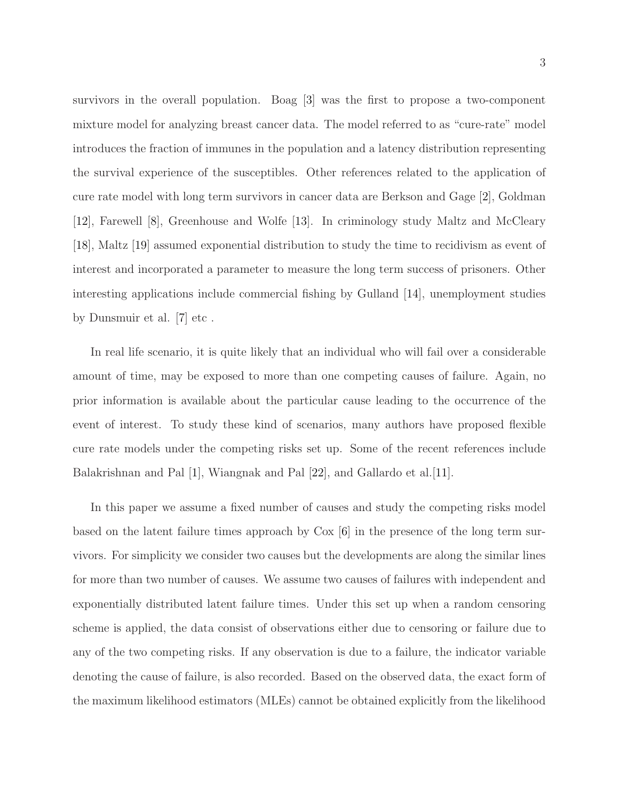survivors in the overall population. Boag [\[3\]](#page-29-1) was the first to propose a two-component mixture model for analyzing breast cancer data. The model referred to as "cure-rate" model introduces the fraction of immunes in the population and a latency distribution representing the survival experience of the susceptibles. Other references related to the application of cure rate model with long term survivors in cancer data are Berkson and Gage [\[2\]](#page-29-2), Goldman [\[12\]](#page-30-1), Farewell [\[8\]](#page-30-2), Greenhouse and Wolfe [\[13\]](#page-30-3). In criminology study Maltz and McCleary [\[18\]](#page-31-2), Maltz [\[19\]](#page-31-3) assumed exponential distribution to study the time to recidivism as event of interest and incorporated a parameter to measure the long term success of prisoners. Other interesting applications include commercial fishing by Gulland [\[14\]](#page-30-4), unemployment studies by Dunsmuir et al. [\[7\]](#page-30-5) etc .

In real life scenario, it is quite likely that an individual who will fail over a considerable amount of time, may be exposed to more than one competing causes of failure. Again, no prior information is available about the particular cause leading to the occurrence of the event of interest. To study these kind of scenarios, many authors have proposed flexible cure rate models under the competing risks set up. Some of the recent references include Balakrishnan and Pal [\[1\]](#page-29-3), Wiangnak and Pal [\[22\]](#page-31-4), and Gallardo et al.[\[11\]](#page-30-6).

In this paper we assume a fixed number of causes and study the competing risks model based on the latent failure times approach by Cox [\[6\]](#page-30-0) in the presence of the long term survivors. For simplicity we consider two causes but the developments are along the similar lines for more than two number of causes. We assume two causes of failures with independent and exponentially distributed latent failure times. Under this set up when a random censoring scheme is applied, the data consist of observations either due to censoring or failure due to any of the two competing risks. If any observation is due to a failure, the indicator variable denoting the cause of failure, is also recorded. Based on the observed data, the exact form of the maximum likelihood estimators (MLEs) cannot be obtained explicitly from the likelihood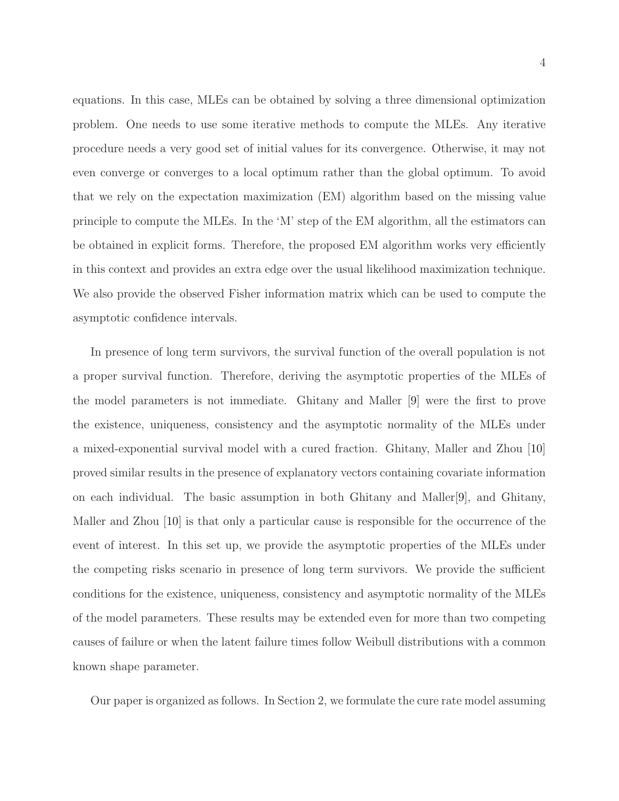equations. In this case, MLEs can be obtained by solving a three dimensional optimization problem. One needs to use some iterative methods to compute the MLEs. Any iterative procedure needs a very good set of initial values for its convergence. Otherwise, it may not even converge or converges to a local optimum rather than the global optimum. To avoid that we rely on the expectation maximization (EM) algorithm based on the missing value principle to compute the MLEs. In the 'M' step of the EM algorithm, all the estimators can be obtained in explicit forms. Therefore, the proposed EM algorithm works very efficiently in this context and provides an extra edge over the usual likelihood maximization technique. We also provide the observed Fisher information matrix which can be used to compute the asymptotic confidence intervals.

In presence of long term survivors, the survival function of the overall population is not a proper survival function. Therefore, deriving the asymptotic properties of the MLEs of the model parameters is not immediate. Ghitany and Maller [\[9\]](#page-30-7) were the first to prove the existence, uniqueness, consistency and the asymptotic normality of the MLEs under a mixed-exponential survival model with a cured fraction. Ghitany, Maller and Zhou [\[10\]](#page-30-8) proved similar results in the presence of explanatory vectors containing covariate information on each individual. The basic assumption in both Ghitany and Maller[\[9\]](#page-30-7), and Ghitany, Maller and Zhou [\[10\]](#page-30-8) is that only a particular cause is responsible for the occurrence of the event of interest. In this set up, we provide the asymptotic properties of the MLEs under the competing risks scenario in presence of long term survivors. We provide the sufficient conditions for the existence, uniqueness, consistency and asymptotic normality of the MLEs of the model parameters. These results may be extended even for more than two competing causes of failure or when the latent failure times follow Weibull distributions with a common known shape parameter.

Our paper is organized as follows. In Section 2, we formulate the cure rate model assuming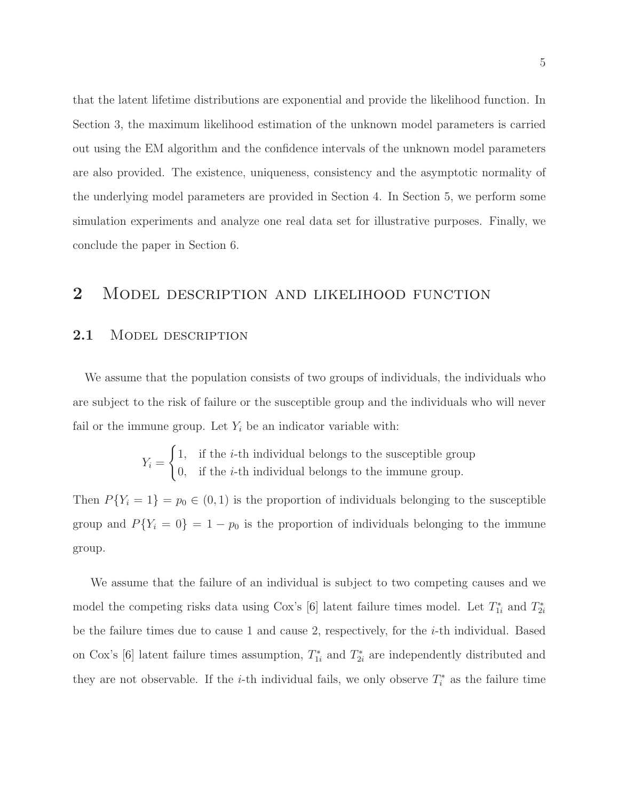that the latent lifetime distributions are exponential and provide the likelihood function. In Section 3, the maximum likelihood estimation of the unknown model parameters is carried out using the EM algorithm and the confidence intervals of the unknown model parameters are also provided. The existence, uniqueness, consistency and the asymptotic normality of the underlying model parameters are provided in Section 4. In Section 5, we perform some simulation experiments and analyze one real data set for illustrative purposes. Finally, we conclude the paper in Section 6.

### 2 MODEL DESCRIPTION AND LIKELIHOOD FUNCTION

### 2.1 MODEL DESCRIPTION

We assume that the population consists of two groups of individuals, the individuals who are subject to the risk of failure or the susceptible group and the individuals who will never fail or the immune group. Let  $Y_i$  be an indicator variable with:

$$
Y_i = \begin{cases} 1, & \text{if the } i\text{-th individual belongs to the susceptible group} \\ 0, & \text{if the } i\text{-th individual belongs to the immune group.} \end{cases}
$$

Then  $P{Y_i = 1} = p_0 \in (0, 1)$  is the proportion of individuals belonging to the susceptible group and  $P{Y_i = 0} = 1 - p_0$  is the proportion of individuals belonging to the immune group.

We assume that the failure of an individual is subject to two competing causes and we model the competing risks data using Cox's [\[6\]](#page-30-0) latent failure times model. Let  $T_{1i}^*$  and  $T_{2i}^*$ be the failure times due to cause 1 and cause 2, respectively, for the i-th individual. Based on Cox's [\[6\]](#page-30-0) latent failure times assumption,  $T_{1i}^*$  and  $T_{2i}^*$  are independently distributed and they are not observable. If the *i*-th individual fails, we only observe  $T_i^*$  as the failure time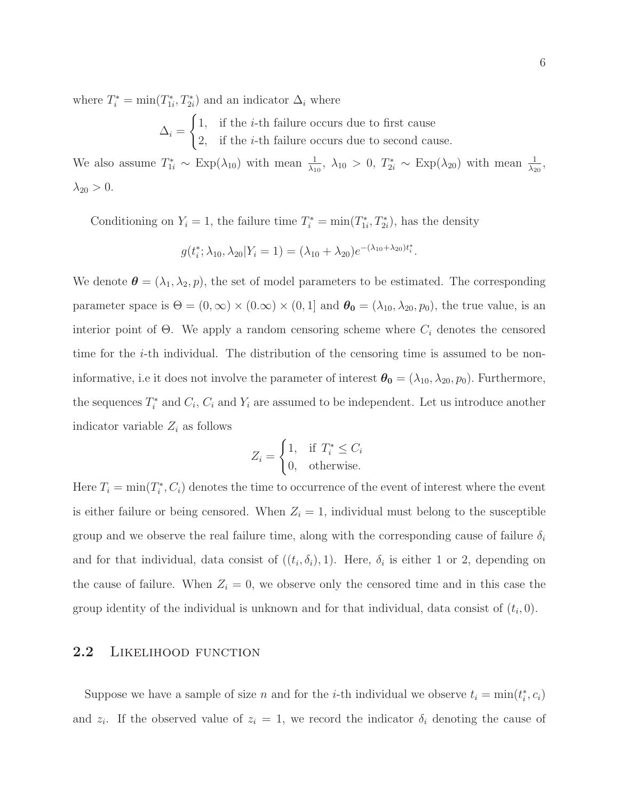where  $T_i^* = \min(T_{1i}^*, T_{2i}^*)$  and an indicator  $\Delta_i$  where

$$
\Delta_i = \begin{cases} 1, & \text{if the } i\text{-th failure occurs due to first cause} \\ 2, & \text{if the } i\text{-th failure occurs due to second cause.} \end{cases}
$$

We also assume  $T_{1i}^* \sim \text{Exp}(\lambda_{10})$  with mean  $\frac{1}{\lambda_{10}}, \lambda_{10} > 0$ ,  $T_{2i}^* \sim \text{Exp}(\lambda_{20})$  with mean  $\frac{1}{\lambda_{20}},$  $\lambda_{20} > 0$ .

Conditioning on  $Y_i = 1$ , the failure time  $T_i^* = \min(T_{1i}^*, T_{2i}^*)$ , has the density

$$
g(t_i^*; \lambda_{10}, \lambda_{20} | Y_i = 1) = (\lambda_{10} + \lambda_{20})e^{-(\lambda_{10} + \lambda_{20})t_i^*}.
$$

We denote  $\boldsymbol{\theta} = (\lambda_1, \lambda_2, p)$ , the set of model parameters to be estimated. The corresponding parameter space is  $\Theta = (0, \infty) \times (0, \infty) \times (0, 1]$  and  $\theta_0 = (\lambda_{10}, \lambda_{20}, p_0)$ , the true value, is an interior point of  $\Theta$ . We apply a random censoring scheme where  $C_i$  denotes the censored time for the  $i$ -th individual. The distribution of the censoring time is assumed to be noninformative, i.e it does not involve the parameter of interest  $\theta_0 = (\lambda_{10}, \lambda_{20}, p_0)$ . Furthermore, the sequences  $T_i^*$  and  $C_i$ ,  $C_i$  and  $Y_i$  are assumed to be independent. Let us introduce another indicator variable  $Z_i$  as follows

$$
Z_i = \begin{cases} 1, & \text{if } T_i^* \le C_i \\ 0, & \text{otherwise.} \end{cases}
$$

Here  $T_i = \min(T_i^*, C_i)$  denotes the time to occurrence of the event of interest where the event is either failure or being censored. When  $Z_i = 1$ , individual must belong to the susceptible group and we observe the real failure time, along with the corresponding cause of failure  $\delta_i$ and for that individual, data consist of  $((t_i, \delta_i), 1)$ . Here,  $\delta_i$  is either 1 or 2, depending on the cause of failure. When  $Z_i = 0$ , we observe only the censored time and in this case the group identity of the individual is unknown and for that individual, data consist of  $(t_i, 0)$ .

### 2.2 LIKELIHOOD FUNCTION

Suppose we have a sample of size n and for the *i*-th individual we observe  $t_i = \min(t_i^*, c_i)$ and  $z_i$ . If the observed value of  $z_i = 1$ , we record the indicator  $\delta_i$  denoting the cause of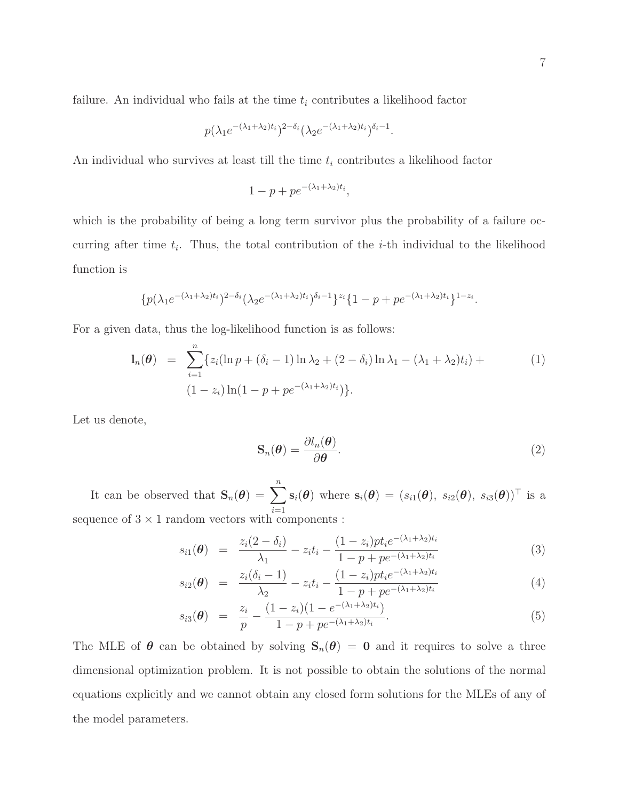failure. An individual who fails at the time  $t_i$  contributes a likelihood factor

$$
p(\lambda_1 e^{-(\lambda_1 + \lambda_2)t_i})^{2-\delta_i} (\lambda_2 e^{-(\lambda_1 + \lambda_2)t_i})^{\delta_i - 1}.
$$

An individual who survives at least till the time  $t_i$  contributes a likelihood factor

$$
1 - p + p e^{-(\lambda_1 + \lambda_2)t_i},
$$

which is the probability of being a long term survivor plus the probability of a failure occurring after time  $t_i$ . Thus, the total contribution of the *i*-th individual to the likelihood function is

$$
\{p(\lambda_1e^{-(\lambda_1+\lambda_2)t_i})^{2-\delta_i}(\lambda_2e^{-(\lambda_1+\lambda_2)t_i})^{\delta_i-1}\}^{z_i}\{1-p+pe^{-(\lambda_1+\lambda_2)t_i}\}^{1-z_i}.
$$

For a given data, thus the log-likelihood function is as follows:

<span id="page-6-0"></span>
$$
\mathbf{l}_n(\boldsymbol{\theta}) = \sum_{i=1}^n \{z_i(\ln p + (\delta_i - 1) \ln \lambda_2 + (2 - \delta_i) \ln \lambda_1 - (\lambda_1 + \lambda_2)t_i) + (1 - z_i) \ln(1 - p + pe^{-(\lambda_1 + \lambda_2)t_i})\}.
$$
\n(1)

Let us denote,

<span id="page-6-1"></span>
$$
\mathbf{S}_n(\boldsymbol{\theta}) = \frac{\partial l_n(\boldsymbol{\theta})}{\partial \boldsymbol{\theta}}.\tag{2}
$$

It can be observed that  $\mathbf{S}_n(\boldsymbol{\theta}) = \sum_{n=1}^n$  $i=1$  $\mathbf{s}_i(\boldsymbol{\theta})$  where  $\mathbf{s}_i(\boldsymbol{\theta}) = (s_{i1}(\boldsymbol{\theta}), s_{i2}(\boldsymbol{\theta}), s_{i3}(\boldsymbol{\theta}))^\top$  is a sequence of  $3 \times 1$  random vectors with components :

<span id="page-6-2"></span>
$$
s_{i1}(\theta) = \frac{z_i(2-\delta_i)}{\lambda_1} - z_i t_i - \frac{(1-z_i)pt_i e^{-(\lambda_1+\lambda_2)t_i}}{1-p+pe^{-(\lambda_1+\lambda_2)t_i}}
$$
(3)

$$
s_{i2}(\theta) = \frac{z_i(\delta_i - 1)}{\lambda_2} - z_i t_i - \frac{(1 - z_i) p t_i e^{-(\lambda_1 + \lambda_2) t_i}}{1 - p + p e^{-(\lambda_1 + \lambda_2) t_i}}
$$
(4)

$$
s_{i3}(\theta) = \frac{z_i}{p} - \frac{(1-z_i)(1 - e^{-(\lambda_1 + \lambda_2)t_i})}{1 - p + pe^{-(\lambda_1 + \lambda_2)t_i}}.
$$
\n
$$
(5)
$$

The MLE of  $\theta$  can be obtained by solving  $S_n(\theta) = 0$  and it requires to solve a three dimensional optimization problem. It is not possible to obtain the solutions of the normal equations explicitly and we cannot obtain any closed form solutions for the MLEs of any of the model parameters.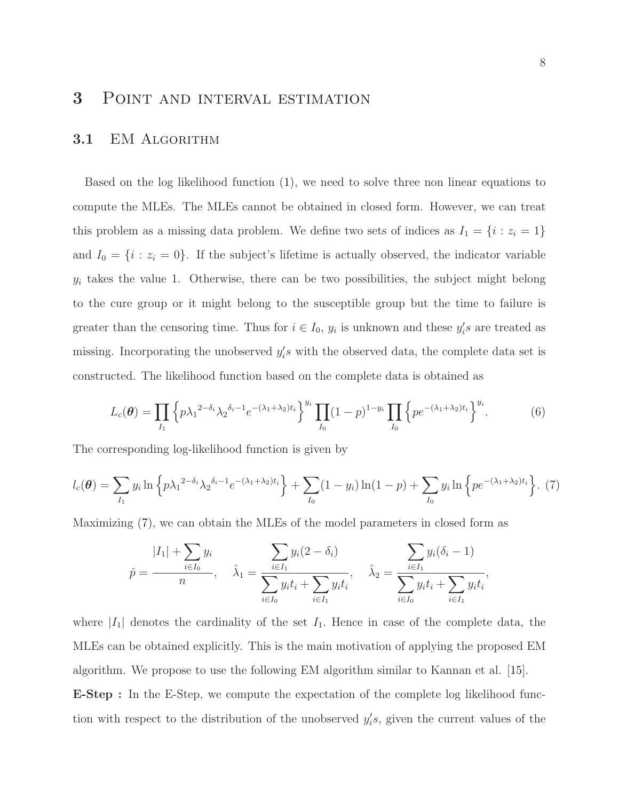# 3 Point and interval estimation

#### 3.1 EM ALGORITHM

Based on the log likelihood function [\(1\)](#page-6-0), we need to solve three non linear equations to compute the MLEs. The MLEs cannot be obtained in closed form. However, we can treat this problem as a missing data problem. We define two sets of indices as  $I_1 = \{i : z_i = 1\}$ and  $I_0 = \{i : z_i = 0\}$ . If the subject's lifetime is actually observed, the indicator variable  $y_i$  takes the value 1. Otherwise, there can be two possibilities, the subject might belong to the cure group or it might belong to the susceptible group but the time to failure is greater than the censoring time. Thus for  $i \in I_0$ ,  $y_i$  is unknown and these  $y_i$ 's are treated as missing. Incorporating the unobserved  $y_i$ 's with the observed data, the complete data set is constructed. The likelihood function based on the complete data is obtained as

$$
L_c(\boldsymbol{\theta}) = \prod_{I_1} \left\{ p \lambda_1^{2-\delta_i} \lambda_2^{\delta_i - 1} e^{-(\lambda_1 + \lambda_2)t_i} \right\}^{y_i} \prod_{I_0} (1 - p)^{1 - y_i} \prod_{I_0} \left\{ p e^{-(\lambda_1 + \lambda_2)t_i} \right\}^{y_i}.
$$
 (6)

The corresponding log-likelihood function is given by

<span id="page-7-0"></span>
$$
l_c(\boldsymbol{\theta}) = \sum_{I_1} y_i \ln \left\{ p \lambda_1^{2-\delta_i} \lambda_2^{\delta_i - 1} e^{-(\lambda_1 + \lambda_2)t_i} \right\} + \sum_{I_0} (1 - y_i) \ln(1 - p) + \sum_{I_0} y_i \ln \left\{ p e^{-(\lambda_1 + \lambda_2)t_i} \right\}.
$$
 (7)

Maximizing [\(7\)](#page-7-0), we can obtain the MLEs of the model parameters in closed form as

$$
\hat{p} = \frac{|I_1| + \sum_{i \in I_0} y_i}{n}, \quad \hat{\lambda}_1 = \frac{\sum_{i \in I_1} y_i (2 - \delta_i)}{\sum_{i \in I_0} y_i t_i + \sum_{i \in I_1} y_i t_i}, \quad \hat{\lambda}_2 = \frac{\sum_{i \in I_1} y_i (\delta_i - 1)}{\sum_{i \in I_0} y_i t_i + \sum_{i \in I_1} y_i t_i},
$$

where  $|I_1|$  denotes the cardinality of the set  $I_1$ . Hence in case of the complete data, the MLEs can be obtained explicitly. This is the main motivation of applying the proposed EM algorithm. We propose to use the following EM algorithm similar to Kannan et al. [\[15\]](#page-31-5). E-Step : In the E-Step, we compute the expectation of the complete log likelihood function with respect to the distribution of the unobserved  $y_i$ 's, given the current values of the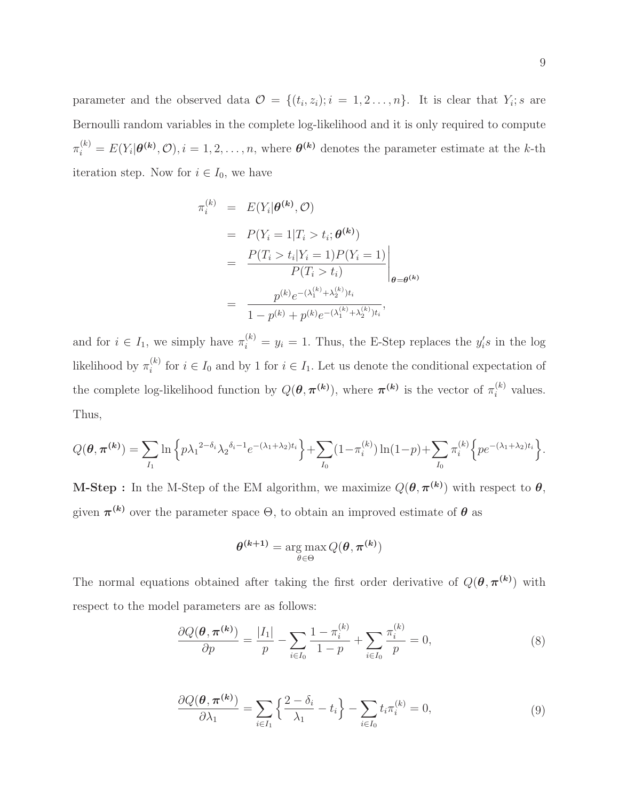parameter and the observed data  $\mathcal{O} = \{(t_i, z_i); i = 1, 2, \ldots, n\}$ . It is clear that  $Y_i$ ; s are Bernoulli random variables in the complete log-likelihood and it is only required to compute  $\pi_i^{(k)} = E(Y_i | \boldsymbol{\theta^{(k)}}, \mathcal{O}), i = 1, 2, \dots, n$ , where  $\boldsymbol{\theta^{(k)}}$  denotes the parameter estimate at the k-th iteration step. Now for  $i \in I_0$ , we have

$$
\pi_i^{(k)} = E(Y_i|\theta^{(k)}, \mathcal{O})
$$
  
=  $P(Y_i = 1|T_i > t_i; \theta^{(k)})$   
=  $\frac{P(T_i > t_i|Y_i = 1)P(Y_i = 1)}{P(T_i > t_i)}$   
=  $\frac{p^{(k)}e^{-(\lambda_1^{(k)} + \lambda_2^{(k)})t_i}}{1 - p^{(k)} + p^{(k)}e^{-(\lambda_1^{(k)} + \lambda_2^{(k)})t_i}},$ 

and for  $i \in I_1$ , we simply have  $\pi_i^{(k)} = y_i = 1$ . Thus, the E-Step replaces the  $y_i$ 's in the log likelihood by  $\pi_i^{(k)}$ <sup>(k)</sup> for  $i \in I_0$  and by 1 for  $i \in I_1$ . Let us denote the conditional expectation of the complete log-likelihood function by  $Q(\theta, \pi^{(k)})$ , where  $\pi^{(k)}$  is the vector of  $\pi_i^{(k)}$  values. Thus,

$$
Q(\boldsymbol{\theta}, \boldsymbol{\pi^{(k)}}) = \sum_{I_1} \ln \left\{ p \lambda_1^{-2-\delta_i} \lambda_2^{-\delta_i - 1} e^{-(\lambda_1 + \lambda_2)t_i} \right\} + \sum_{I_0} (1 - \pi_i^{(k)}) \ln(1 - p) + \sum_{I_0} \pi_i^{(k)} \left\{ p e^{-(\lambda_1 + \lambda_2)t_i} \right\}.
$$

**M-Step**: In the M-Step of the EM algorithm, we maximize  $Q(\theta, \pi^{(k)})$  with respect to  $\theta$ , given  $\pi^{(k)}$  over the parameter space  $\Theta$ , to obtain an improved estimate of  $\theta$  as

$$
\boldsymbol{\theta}^{(k+1)} = \argmax_{\theta \in \Theta} Q(\boldsymbol{\theta}, \boldsymbol{\pi}^{(k)})
$$

The normal equations obtained after taking the first order derivative of  $Q(\theta, \pi^{(k)})$  with respect to the model parameters are as follows:

$$
\frac{\partial Q(\boldsymbol{\theta}, \boldsymbol{\pi^{(k)}})}{\partial p} = \frac{|I_1|}{p} - \sum_{i \in I_0} \frac{1 - \pi_i^{(k)}}{1 - p} + \sum_{i \in I_0} \frac{\pi_i^{(k)}}{p} = 0,
$$
\n(8)

$$
\frac{\partial Q(\boldsymbol{\theta}, \boldsymbol{\pi}^{(k)})}{\partial \lambda_1} = \sum_{i \in I_1} \left\{ \frac{2 - \delta_i}{\lambda_1} - t_i \right\} - \sum_{i \in I_0} t_i \pi_i^{(k)} = 0,
$$
\n(9)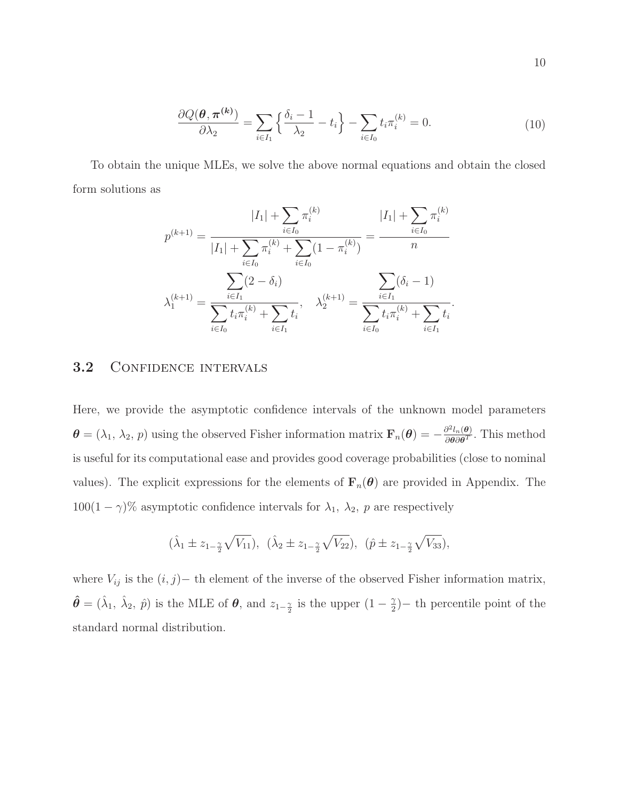$$
\frac{\partial Q(\boldsymbol{\theta}, \boldsymbol{\pi}^{(k)})}{\partial \lambda_2} = \sum_{i \in I_1} \left\{ \frac{\delta_i - 1}{\lambda_2} - t_i \right\} - \sum_{i \in I_0} t_i \pi_i^{(k)} = 0. \tag{10}
$$

To obtain the unique MLEs, we solve the above normal equations and obtain the closed form solutions as

$$
p^{(k+1)} = \frac{|I_1| + \sum_{i \in I_0} \pi_i^{(k)}}{|I_1| + \sum_{i \in I_0} \pi_i^{(k)} + \sum_{i \in I_0} (1 - \pi_i^{(k)})} = \frac{|I_1| + \sum_{i \in I_0} \pi_i^{(k)}}{n}
$$

$$
\lambda_1^{(k+1)} = \frac{\sum_{i \in I_1} (2 - \delta_i)}{\sum_{i \in I_0} t_i \pi_i^{(k)} + \sum_{i \in I_1} t_i}, \quad \lambda_2^{(k+1)} = \frac{\sum_{i \in I_1} (\delta_i - 1)}{\sum_{i \in I_0} t_i \pi_i^{(k)} + \sum_{i \in I_1} t_i}.
$$

### 3.2 CONFIDENCE INTERVALS

Here, we provide the asymptotic confidence intervals of the unknown model parameters  $\boldsymbol{\theta} = (\lambda_1, \lambda_2, p)$  using the observed Fisher information matrix  $\mathbf{F}_n(\boldsymbol{\theta}) = -\frac{\partial^2 l_n(\boldsymbol{\theta})}{\partial \boldsymbol{\theta} \partial \boldsymbol{\theta}^T}$  $\frac{\partial^2 l_n(\theta)}{\partial \theta \partial \theta^T}$ . This method is useful for its computational ease and provides good coverage probabilities (close to nominal values). The explicit expressions for the elements of  $\mathbf{F}_n(\theta)$  are provided in Appendix. The  $100(1 - \gamma)$ % asymptotic confidence intervals for  $\lambda_1$ ,  $\lambda_2$ , p are respectively

$$
(\hat{\lambda}_1 \pm z_{1-\frac{\gamma}{2}}\sqrt{V_{11}}), \ (\hat{\lambda}_2 \pm z_{1-\frac{\gamma}{2}}\sqrt{V_{22}}), \ (\hat{p} \pm z_{1-\frac{\gamma}{2}}\sqrt{V_{33}}),
$$

where  $V_{ij}$  is the  $(i, j)$ − th element of the inverse of the observed Fisher information matrix,  $\hat{\theta} = (\hat{\lambda}_1, \hat{\lambda}_2, \hat{p})$  is the MLE of  $\theta$ , and  $z_{1-\frac{\gamma}{2}}$  is the upper  $(1-\frac{\gamma}{2})$  $\frac{\gamma}{2}$ )– th percentile point of the standard normal distribution.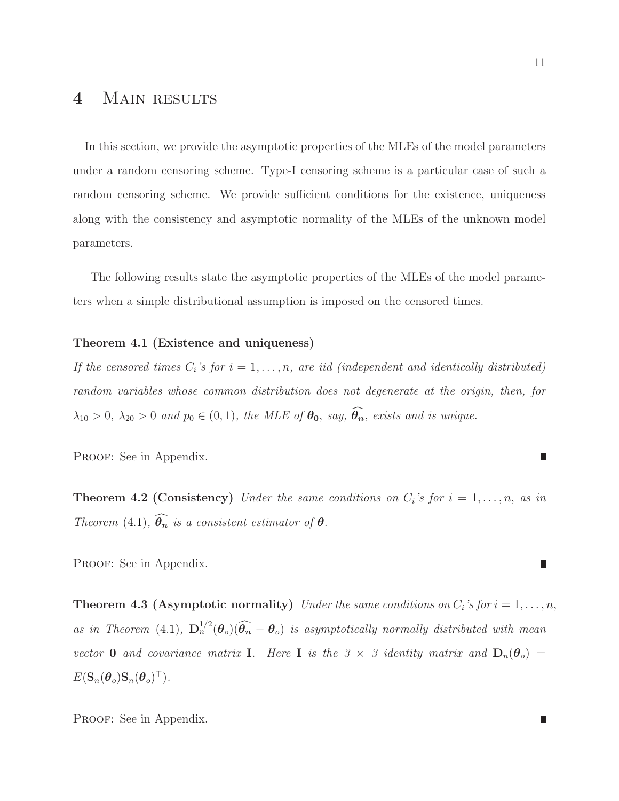# 4 MAIN RESULTS

In this section, we provide the asymptotic properties of the MLEs of the model parameters under a random censoring scheme. Type-I censoring scheme is a particular case of such a random censoring scheme. We provide sufficient conditions for the existence, uniqueness along with the consistency and asymptotic normality of the MLEs of the unknown model parameters.

<span id="page-10-0"></span>The following results state the asymptotic properties of the MLEs of the model parameters when a simple distributional assumption is imposed on the censored times.

#### Theorem 4.1 (Existence and uniqueness)

*If the censored times*  $C_i$ *'s for*  $i = 1, \ldots, n$ , are iid (independent and identically distributed) *random variables whose common distribution does not degenerate at the origin, then, for*  $\lambda_{10} > 0$ ,  $\lambda_{20} > 0$  *and*  $p_0 \in (0, 1)$ *, the MLE of*  $\theta_0$ *, say,*  $\widehat{\theta_n}$ *, exists and is unique.* 

<span id="page-10-1"></span>PROOF: See in Appendix.

**Theorem 4.2 (Consistency)** *Under the same conditions on*  $C_i$ 's for  $i = 1, \ldots, n$ , *as in Theorem* [\(4.1\)](#page-10-0),  $\widehat{\theta_n}$  *is a consistent estimator of*  $\theta$ .

<span id="page-10-2"></span>PROOF: See in Appendix.

**Theorem 4.3 (Asymptotic normality)** *Under the same conditions on*  $C_i$ 's for  $i = 1, ..., n$ , *as in Theorem* [\(4.1\)](#page-10-0),  $D_n^{1/2}(\theta_o)(\widehat{\theta_n}-\theta_o)$  *is asymptotically normally distributed with mean vector* **0** *and covariance* matrix **I**. Here **I** is the 3  $\times$  3 *identity matrix and*  $D_n(\theta_o)$  =  $E(\mathbf{S}_n(\boldsymbol{\theta}_o)\mathbf{S}_n(\boldsymbol{\theta}_o)^{\top}).$ 

PROOF: See in Appendix.

$$
\mathcal{L}_{\mathcal{A}}
$$

г

I.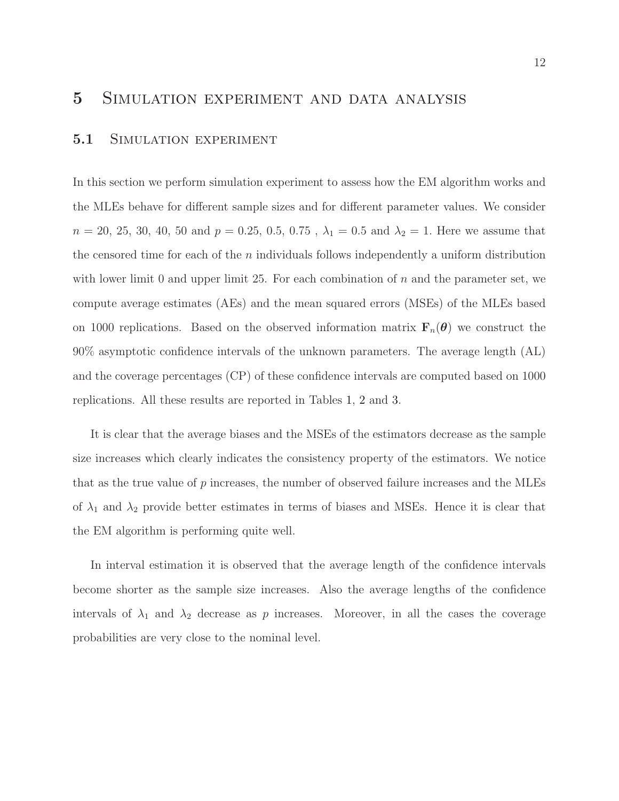### 5 Simulation experiment and data analysis

#### 5.1 SIMULATION EXPERIMENT

In this section we perform simulation experiment to assess how the EM algorithm works and the MLEs behave for different sample sizes and for different parameter values. We consider  $n = 20, 25, 30, 40, 50$  and  $p = 0.25, 0.5, 0.75$ ,  $\lambda_1 = 0.5$  and  $\lambda_2 = 1$ . Here we assume that the censored time for each of the  $n$  individuals follows independently a uniform distribution with lower limit 0 and upper limit 25. For each combination of  $n$  and the parameter set, we compute average estimates (AEs) and the mean squared errors (MSEs) of the MLEs based on 1000 replications. Based on the observed information matrix  $\mathbf{F}_n(\theta)$  we construct the 90% asymptotic confidence intervals of the unknown parameters. The average length (AL) and the coverage percentages (CP) of these confidence intervals are computed based on 1000 replications. All these results are reported in Tables [1,](#page-12-0) [2](#page-12-1) and [3.](#page-13-0)

It is clear that the average biases and the MSEs of the estimators decrease as the sample size increases which clearly indicates the consistency property of the estimators. We notice that as the true value of  $p$  increases, the number of observed failure increases and the MLEs of  $\lambda_1$  and  $\lambda_2$  provide better estimates in terms of biases and MSEs. Hence it is clear that the EM algorithm is performing quite well.

In interval estimation it is observed that the average length of the confidence intervals become shorter as the sample size increases. Also the average lengths of the confidence intervals of  $\lambda_1$  and  $\lambda_2$  decrease as p increases. Moreover, in all the cases the coverage probabilities are very close to the nominal level.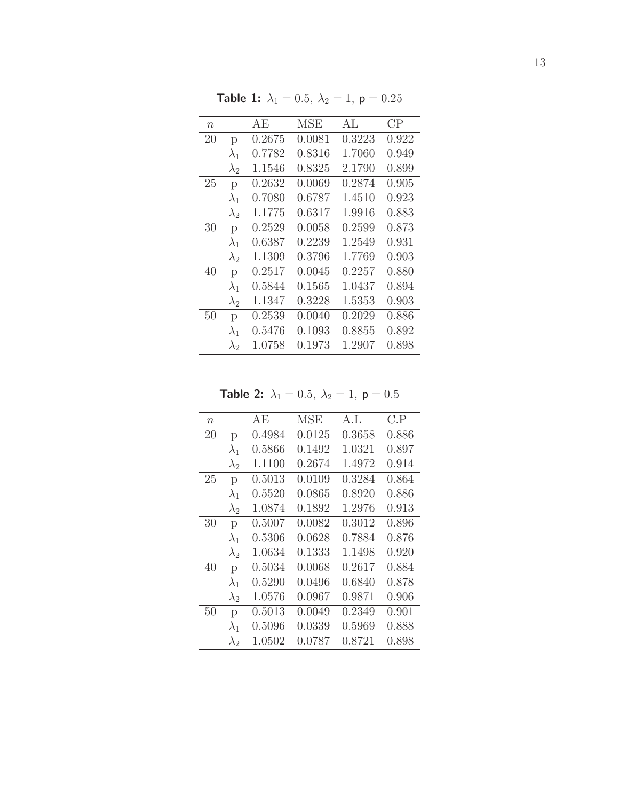<span id="page-12-0"></span>

| $\boldsymbol{n}$ |             | ΑE     | MSE    | AL.    | $\rm CP$ |
|------------------|-------------|--------|--------|--------|----------|
| 20               | p           | 0.2675 | 0.0081 | 0.3223 | 0.922    |
|                  | $\lambda_1$ | 0.7782 | 0.8316 | 1.7060 | 0.949    |
|                  | $\lambda_2$ | 1.1546 | 0.8325 | 2.1790 | 0.899    |
| 25               | p           | 0.2632 | 0.0069 | 0.2874 | 0.905    |
|                  | $\lambda_1$ | 0.7080 | 0.6787 | 1.4510 | 0.923    |
|                  | $\lambda_2$ | 1.1775 | 0.6317 | 1.9916 | 0.883    |
| 30               | p           | 0.2529 | 0.0058 | 0.2599 | 0.873    |
|                  | $\lambda_1$ | 0.6387 | 0.2239 | 1.2549 | 0.931    |
|                  | $\lambda_2$ | 1.1309 | 0.3796 | 1.7769 | 0.903    |
| 40               | p           | 0.2517 | 0.0045 | 0.2257 | 0.880    |
|                  | $\lambda_1$ | 0.5844 | 0.1565 | 1.0437 | 0.894    |
|                  | $\lambda_2$ | 1.1347 | 0.3228 | 1.5353 | 0.903    |
| 50               | p           | 0.2539 | 0.0040 | 0.2029 | 0.886    |
|                  | $\lambda_1$ | 0.5476 | 0.1093 | 0.8855 | 0.892    |
|                  | $\lambda_2$ | 1.0758 | 0.1973 | 1.2907 | 0.898    |

**Table 1:**  $\lambda_1 = 0.5$ ,  $\lambda_2 = 1$ ,  $p = 0.25$ 

**Table 2:**  $\lambda_1 = 0.5, \ \lambda_2 = 1, \ p = 0.5$ 

<span id="page-12-1"></span>

| $\eta$ |             | AE     | <b>MSE</b> | A.I.   | C.P   |
|--------|-------------|--------|------------|--------|-------|
| 20     | p           | 0.4984 | 0.0125     | 0.3658 | 0.886 |
|        | $\lambda_1$ | 0.5866 | 0.1492     | 1.0321 | 0.897 |
|        | $\lambda_2$ | 1.1100 | 0.2674     | 1.4972 | 0.914 |
| 25     | p           | 0.5013 | 0.0109     | 0.3284 | 0.864 |
|        | $\lambda_1$ | 0.5520 | 0.0865     | 0.8920 | 0.886 |
|        | $\lambda_2$ | 1.0874 | 0.1892     | 1.2976 | 0.913 |
| 30     | p           | 0.5007 | 0.0082     | 0.3012 | 0.896 |
|        | $\lambda_1$ | 0.5306 | 0.0628     | 0.7884 | 0.876 |
|        | $\lambda_2$ | 1.0634 | 0.1333     | 1.1498 | 0.920 |
| 40     | p           | 0.5034 | 0.0068     | 0.2617 | 0.884 |
|        | $\lambda_1$ | 0.5290 | 0.0496     | 0.6840 | 0.878 |
|        | $\lambda_2$ | 1.0576 | 0.0967     | 0.9871 | 0.906 |
| 50     | p           | 0.5013 | 0.0049     | 0.2349 | 0.901 |
|        | $\lambda_1$ | 0.5096 | 0.0339     | 0.5969 | 0.888 |
|        | $\lambda_2$ | 1.0502 | 0.0787     | 0.8721 | 0.898 |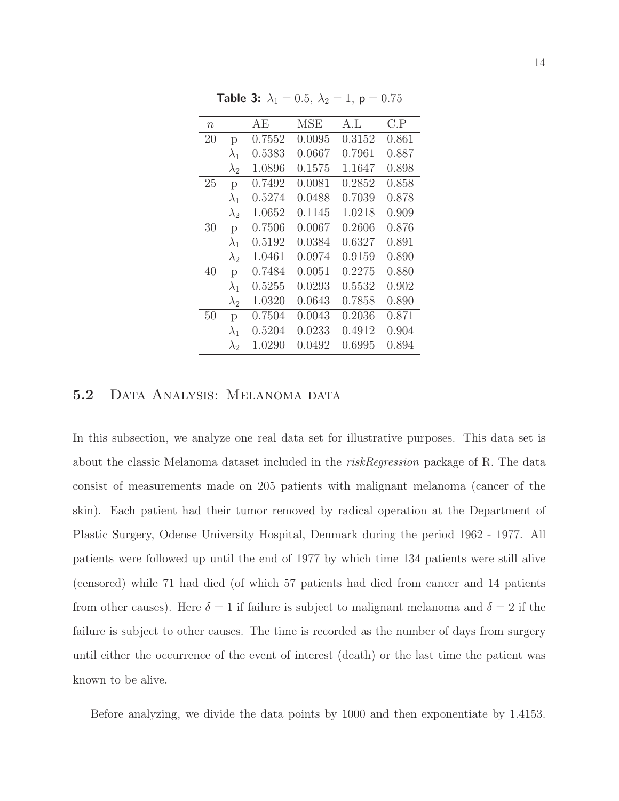<span id="page-13-0"></span>

| $\, n$ |             | АE     | <b>MSE</b> | A.I.   | C.P   |
|--------|-------------|--------|------------|--------|-------|
| 20     | p           | 0.7552 | 0.0095     | 0.3152 | 0.861 |
|        | $\lambda_1$ | 0.5383 | 0.0667     | 0.7961 | 0.887 |
|        | $\lambda_2$ | 1.0896 | 0.1575     | 1.1647 | 0.898 |
| 25     | p           | 0.7492 | 0.0081     | 0.2852 | 0.858 |
|        | $\lambda_1$ | 0.5274 | 0.0488     | 0.7039 | 0.878 |
|        | $\lambda_2$ | 1.0652 | 0.1145     | 1.0218 | 0.909 |
| 30     | p           | 0.7506 | 0.0067     | 0.2606 | 0.876 |
|        | $\lambda_1$ | 0.5192 | 0.0384     | 0.6327 | 0.891 |
|        | $\lambda_2$ | 1.0461 | 0.0974     | 0.9159 | 0.890 |
| 40     | p           | 0.7484 | 0.0051     | 0.2275 | 0.880 |
|        | $\lambda_1$ | 0.5255 | 0.0293     | 0.5532 | 0.902 |
|        | $\lambda_2$ | 1.0320 | 0.0643     | 0.7858 | 0.890 |
| 50     | p           | 0.7504 | 0.0043     | 0.2036 | 0.871 |
|        | $\lambda_1$ | 0.5204 | 0.0233     | 0.4912 | 0.904 |
|        | $\lambda_2$ | 1.0290 | 0.0492     | 0.6995 | 0.894 |

**Table 3:**  $\lambda_1 = 0.5$ ,  $\lambda_2 = 1$ ,  $p = 0.75$ 

### 5.2 DATA ANALYSIS: MELANOMA DATA

In this subsection, we analyze one real data set for illustrative purposes. This data set is about the classic Melanoma dataset included in the *riskRegression* package of R. The data consist of measurements made on 205 patients with malignant melanoma (cancer of the skin). Each patient had their tumor removed by radical operation at the Department of Plastic Surgery, Odense University Hospital, Denmark during the period 1962 - 1977. All patients were followed up until the end of 1977 by which time 134 patients were still alive (censored) while 71 had died (of which 57 patients had died from cancer and 14 patients from other causes). Here  $\delta = 1$  if failure is subject to malignant melanoma and  $\delta = 2$  if the failure is subject to other causes. The time is recorded as the number of days from surgery until either the occurrence of the event of interest (death) or the last time the patient was known to be alive.

Before analyzing, we divide the data points by 1000 and then exponentiate by 1.4153.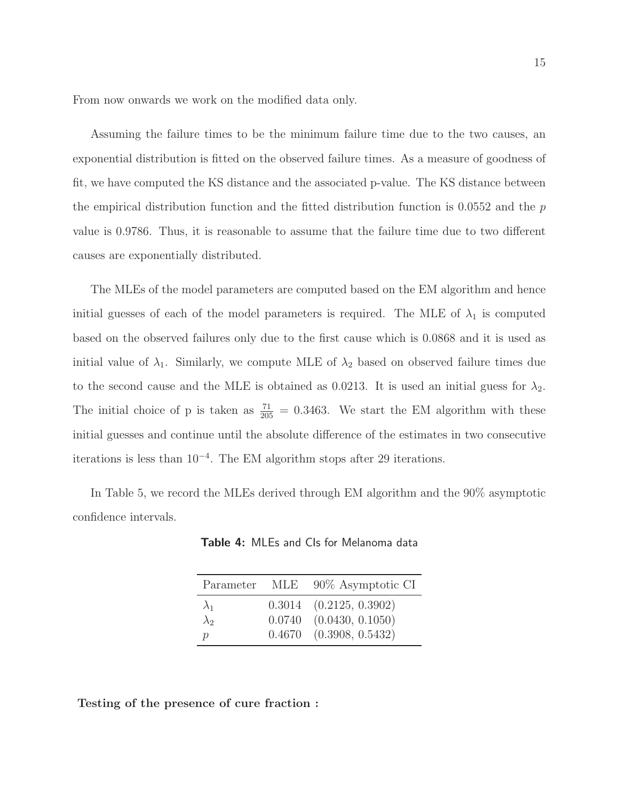From now onwards we work on the modified data only.

Assuming the failure times to be the minimum failure time due to the two causes, an exponential distribution is fitted on the observed failure times. As a measure of goodness of fit, we have computed the KS distance and the associated p-value. The KS distance between the empirical distribution function and the fitted distribution function is  $0.0552$  and the p value is 0.9786. Thus, it is reasonable to assume that the failure time due to two different causes are exponentially distributed.

The MLEs of the model parameters are computed based on the EM algorithm and hence initial guesses of each of the model parameters is required. The MLE of  $\lambda_1$  is computed based on the observed failures only due to the first cause which is 0.0868 and it is used as initial value of  $\lambda_1$ . Similarly, we compute MLE of  $\lambda_2$  based on observed failure times due to the second cause and the MLE is obtained as 0.0213. It is used an initial guess for  $\lambda_2$ . The initial choice of p is taken as  $\frac{71}{205} = 0.3463$ . We start the EM algorithm with these initial guesses and continue until the absolute difference of the estimates in two consecutive iterations is less than 10<sup>−</sup><sup>4</sup> . The EM algorithm stops after 29 iterations.

In Table 5, we record the MLEs derived through EM algorithm and the 90% asymptotic confidence intervals.

|               | Parameter MLE 90% Asymptotic CI |
|---------------|---------------------------------|
| $\lambda_1$   | $0.3014$ $(0.2125, 0.3902)$     |
| $\lambda_2$   | $0.0740$ $(0.0430, 0.1050)$     |
| $\mathcal{D}$ | $0.4670$ $(0.3908, 0.5432)$     |

Table 4: MLEs and CIs for Melanoma data

Testing of the presence of cure fraction :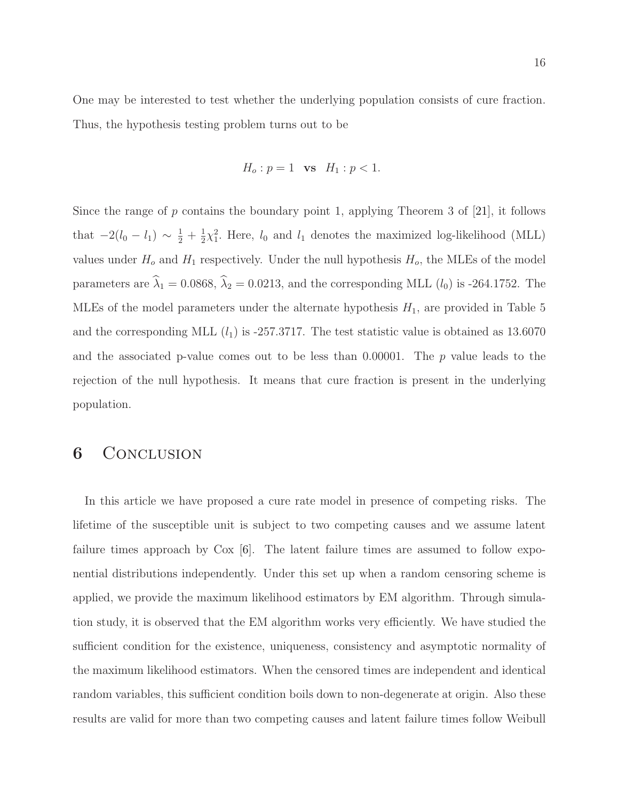One may be interested to test whether the underlying population consists of cure fraction. Thus, the hypothesis testing problem turns out to be

$$
H_o: p = 1
$$
 vs  $H_1: p < 1$ .

Since the range of  $p$  contains the boundary point 1, applying Theorem 3 of [\[21\]](#page-31-6), it follows that  $-2(l_0 - l_1) \sim \frac{1}{2} + \frac{1}{2}$  $\frac{1}{2}\chi_1^2$ . Here,  $l_0$  and  $l_1$  denotes the maximized log-likelihood (MLL) values under  $H_0$  and  $H_1$  respectively. Under the null hypothesis  $H_0$ , the MLEs of the model parameters are  $\hat{\lambda}_1 = 0.0868$ ,  $\hat{\lambda}_2 = 0.0213$ , and the corresponding MLL  $(l_0)$  is -264.1752. The MLEs of the model parameters under the alternate hypothesis  $H_1$ , are provided in Table 5 and the corresponding MLL  $(l_1)$  is -257.3717. The test statistic value is obtained as 13.6070 and the associated p-value comes out to be less than  $0.00001$ . The p value leads to the rejection of the null hypothesis. It means that cure fraction is present in the underlying population.

## **6** CONCLUSION

In this article we have proposed a cure rate model in presence of competing risks. The lifetime of the susceptible unit is subject to two competing causes and we assume latent failure times approach by Cox [\[6\]](#page-30-0). The latent failure times are assumed to follow exponential distributions independently. Under this set up when a random censoring scheme is applied, we provide the maximum likelihood estimators by EM algorithm. Through simulation study, it is observed that the EM algorithm works very efficiently. We have studied the sufficient condition for the existence, uniqueness, consistency and asymptotic normality of the maximum likelihood estimators. When the censored times are independent and identical random variables, this sufficient condition boils down to non-degenerate at origin. Also these results are valid for more than two competing causes and latent failure times follow Weibull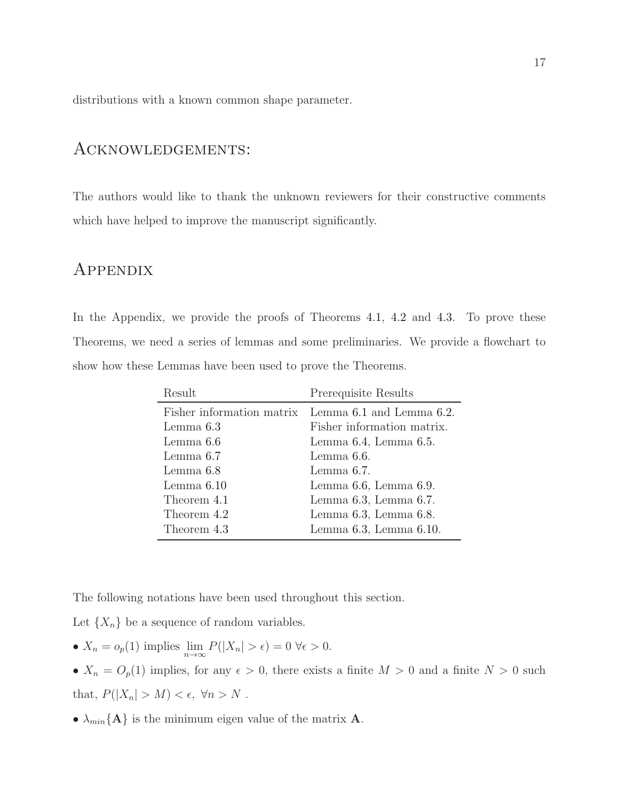distributions with a known common shape parameter.

# Acknowledgements:

The authors would like to thank the unknown reviewers for their constructive comments which have helped to improve the manuscript significantly.

# **APPENDIX**

In the Appendix, we provide the proofs of Theorems [4.1,](#page-10-0) [4.2](#page-10-1) and [4.3.](#page-10-2) To prove these Theorems, we need a series of lemmas and some preliminaries. We provide a flowchart to show how these Lemmas have been used to prove the Theorems.

| Result       | Prerequisite Results                               |
|--------------|----------------------------------------------------|
|              | Fisher information matrix Lemma 6.1 and Lemma 6.2. |
| Lemma $6.3$  | Fisher information matrix.                         |
| Lemma 6.6    | Lemma $6.4$ , Lemma $6.5$ .                        |
| Lemma $6.7$  | Lemma 6.6.                                         |
| Lemma 6.8    | Lemma 6.7.                                         |
| Lemma $6.10$ | Lemma $6.6$ , Lemma $6.9$ .                        |
| Theorem 4.1  | Lemma $6.3$ , Lemma $6.7$ .                        |
| Theorem 4.2  | Lemma $6.3$ , Lemma $6.8$ .                        |
| Theorem 4.3  | Lemma $6.3$ , Lemma $6.10$ .                       |

The following notations have been used throughout this section.

Let  $\{X_n\}$  be a sequence of random variables.

- $X_n = o_p(1)$  implies  $\lim_{n \to \infty} P(|X_n| > \epsilon) = 0 \ \forall \epsilon > 0.$
- $X_n = O_p(1)$  implies, for any  $\epsilon > 0$ , there exists a finite  $M > 0$  and a finite  $N > 0$  such that,  $P(|X_n| > M) < \epsilon$ ,  $\forall n > N$ .
- $\lambda_{min}{\bf{A}}$  is the minimum eigen value of the matrix **A**.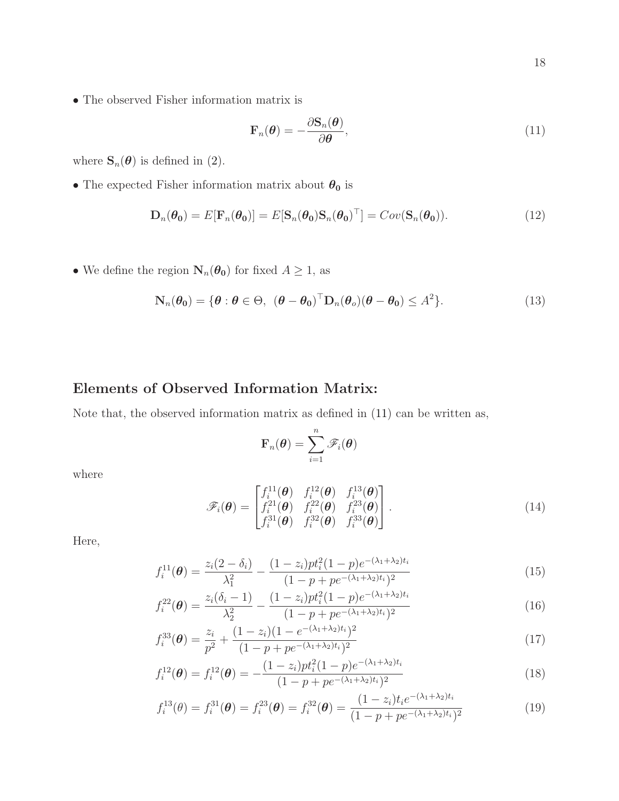$\bullet$  The observed Fisher information matrix is

<span id="page-17-0"></span>
$$
\mathbf{F}_n(\boldsymbol{\theta}) = -\frac{\partial \mathbf{S}_n(\boldsymbol{\theta})}{\partial \boldsymbol{\theta}},\tag{11}
$$

where  $\mathbf{S}_n(\boldsymbol{\theta})$  is defined in [\(2\)](#page-6-1).

 $\bullet$  The expected Fisher information matrix about  $\theta_0$  is

<span id="page-17-1"></span>
$$
\mathbf{D}_n(\boldsymbol{\theta_0}) = E[\mathbf{F}_n(\boldsymbol{\theta_0})] = E[\mathbf{S}_n(\boldsymbol{\theta_0})\mathbf{S}_n(\boldsymbol{\theta_0})^\top] = Cov(\mathbf{S}_n(\boldsymbol{\theta_0})).
$$
\n(12)

• We define the region  $N_n(\theta_0)$  for fixed  $A \geq 1$ , as

$$
\mathbf{N}_n(\boldsymbol{\theta}_0) = \{ \boldsymbol{\theta} : \boldsymbol{\theta} \in \Theta, \ (\boldsymbol{\theta} - \boldsymbol{\theta}_0)^\top \mathbf{D}_n(\boldsymbol{\theta}_o)(\boldsymbol{\theta} - \boldsymbol{\theta}_0) \le A^2 \}. \tag{13}
$$

## Elements of Observed Information Matrix:

Note that, the observed information matrix as defined in [\(11\)](#page-17-0) can be written as,

<span id="page-17-5"></span><span id="page-17-4"></span><span id="page-17-3"></span><span id="page-17-2"></span>
$$
\mathbf{F}_n(\boldsymbol{\theta}) = \sum_{i=1}^n \mathscr{F}_i(\boldsymbol{\theta})
$$

where

$$
\mathscr{F}_i(\boldsymbol{\theta}) = \begin{bmatrix} f_i^{11}(\boldsymbol{\theta}) & f_i^{12}(\boldsymbol{\theta}) & f_i^{13}(\boldsymbol{\theta}) \\ f_i^{21}(\boldsymbol{\theta}) & f_i^{22}(\boldsymbol{\theta}) & f_i^{23}(\boldsymbol{\theta}) \\ f_i^{31}(\boldsymbol{\theta}) & f_i^{32}(\boldsymbol{\theta}) & f_i^{33}(\boldsymbol{\theta}) \end{bmatrix} .
$$
\n(14)

Here,

$$
f_i^{11}(\boldsymbol{\theta}) = \frac{z_i(2-\delta_i)}{\lambda_1^2} - \frac{(1-z_i)pt_i^2(1-p)e^{-(\lambda_1+\lambda_2)t_i}}{(1-p+pe^{-(\lambda_1+\lambda_2)t_i})^2}
$$
(15)

$$
f_i^{22}(\boldsymbol{\theta}) = \frac{z_i(\delta_i - 1)}{\lambda_2^2} - \frac{(1 - z_i)pt_i^2(1 - p)e^{-(\lambda_1 + \lambda_2)t_i}}{(1 - p + pe^{-(\lambda_1 + \lambda_2)t_i})^2}
$$
(16)

$$
f_i^{33}(\boldsymbol{\theta}) = \frac{z_i}{p^2} + \frac{(1-z_i)(1 - e^{-(\lambda_1 + \lambda_2)t_i})^2}{(1 - p + pe^{-(\lambda_1 + \lambda_2)t_i})^2}
$$
(17)

$$
f_i^{12}(\boldsymbol{\theta}) = f_i^{12}(\boldsymbol{\theta}) = -\frac{(1-z_i)pt_i^2(1-p)e^{-(\lambda_1+\lambda_2)t_i}}{(1-p+pe^{-(\lambda_1+\lambda_2)t_i})^2}
$$
(18)

<span id="page-17-6"></span>
$$
f_i^{13}(\theta) = f_i^{31}(\boldsymbol{\theta}) = f_i^{23}(\boldsymbol{\theta}) = f_i^{32}(\boldsymbol{\theta}) = \frac{(1-z_i)t_i e^{-(\lambda_1 + \lambda_2)t_i}}{(1-p + pe^{-(\lambda_1 + \lambda_2)t_i})^2}
$$
(19)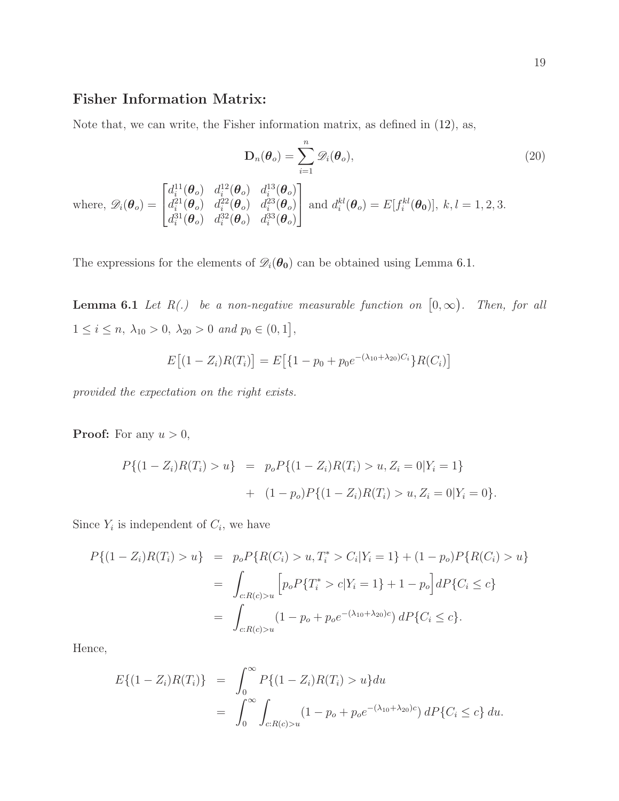### Fisher Information Matrix:

Note that, we can write, the Fisher information matrix, as defined in [\(12\)](#page-17-1), as,

$$
\mathbf{D}_n(\boldsymbol{\theta}_o) = \sum_{i=1}^n \mathscr{D}_i(\boldsymbol{\theta}_o),
$$
\n(20)

where,  $\mathscr{D}_i(\boldsymbol{\theta}_o) =$  $\sqrt{ }$  $\mathbf{I}$  $d_i^{11}(\boldsymbol{\theta}_o)$   $d_i^{12}(\boldsymbol{\theta}_o)$   $d_i^{13}(\boldsymbol{\theta}_o)$  $d_i^{21}(\boldsymbol{\theta}_o)$   $d_i^{22}(\boldsymbol{\theta}_o)$   $d_i^{23}(\boldsymbol{\theta}_o)$  $d_i^{31}(\boldsymbol{\theta}_o)$   $d_i^{32}(\boldsymbol{\theta}_o)$   $d_i^{33}(\boldsymbol{\theta}_o)$ 1 and  $d_i^{kl}(\theta_o) = E[f_i^{kl}(\theta_0)], k, l = 1, 2, 3.$ 

<span id="page-18-0"></span>The expressions for the elements of  $\mathscr{D}_i(\theta_0)$  can be obtained using Lemma [6.1.](#page-18-0)

**Lemma 6.1** Let  $R(.)$  be a non-negative measurable function on  $[0, \infty)$ . Then, for all  $1 \leq i \leq n, \ \lambda_{10} > 0, \ \lambda_{20} > 0 \ and \ p_0 \in (0,1],$ 

$$
E[(1 - Z_i)R(T_i)] = E[\{1 - p_0 + p_0 e^{-(\lambda_{10} + \lambda_{20})C_i}\}R(C_i)]
$$

*provided the expectation on the right exists.*

**Proof:** For any  $u > 0$ ,

$$
P\{(1 - Z_i)R(T_i) > u\} = p_o P\{(1 - Z_i)R(T_i) > u, Z_i = 0 | Y_i = 1\}
$$
  
+ 
$$
(1 - p_o)P\{(1 - Z_i)R(T_i) > u, Z_i = 0 | Y_i = 0\}.
$$

Since  $Y_i$  is independent of  $C_i$ , we have

$$
P\{(1 - Z_i)R(T_i) > u\} = p_o P\{R(C_i) > u, T_i^* > C_i | Y_i = 1\} + (1 - p_o)P\{R(C_i) > u\}
$$
  

$$
= \int_{c:R(c)>u} \left[ p_o P\{T_i^* > c | Y_i = 1\} + 1 - p_o \right] dP\{C_i \le c\}
$$
  

$$
= \int_{c:R(c)>u} (1 - p_o + p_o e^{-(\lambda_{10} + \lambda_{20})c}) dP\{C_i \le c\}.
$$

Hence,

$$
E\{(1 - Z_i)R(T_i)\} = \int_0^\infty P\{(1 - Z_i)R(T_i) > u\} du
$$
  
= 
$$
\int_0^\infty \int_{c:R(c)>u} (1 - p_o + p_o e^{-(\lambda_{10} + \lambda_{20})c}) dP\{C_i \le c\} du.
$$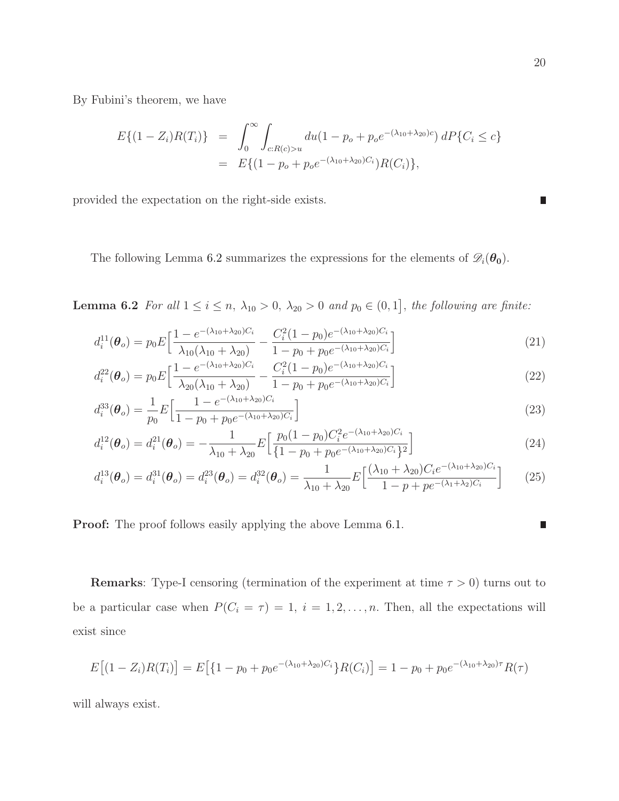By Fubini's theorem, we have

$$
E\{(1-Z_i)R(T_i)\} = \int_0^\infty \int_{c:R(c)>u} du(1-p_o+p_oe^{-(\lambda_{10}+\lambda_{20})c}) dP\{C_i \le c\}
$$
  
= 
$$
E\{(1-p_o+p_oe^{-(\lambda_{10}+\lambda_{20})C_i})R(C_i)\},
$$

provided the expectation on the right-side exists.

<span id="page-19-0"></span>The following Lemma [6.2](#page-19-0) summarizes the expressions for the elements of  $\mathscr{D}_i(\theta_0)$ .

**Lemma 6.2** For all  $1 \leq i \leq n$ ,  $\lambda_{10} > 0$ ,  $\lambda_{20} > 0$  and  $p_0 \in (0, 1]$ , the following are finite:

$$
d_i^{11}(\boldsymbol{\theta}_o) = p_0 E \Big[ \frac{1 - e^{-(\lambda_{10} + \lambda_{20})C_i}}{\lambda_{10}(\lambda_{10} + \lambda_{20})} - \frac{C_i^2 (1 - p_0) e^{-(\lambda_{10} + \lambda_{20})C_i}}{1 - p_0 + p_0 e^{-(\lambda_{10} + \lambda_{20})C_i}} \Big]
$$
(21)

$$
d_i^{22}(\boldsymbol{\theta}_o) = p_0 E \Big[ \frac{1 - e^{-(\lambda_{10} + \lambda_{20})C_i}}{\lambda_{20}(\lambda_{10} + \lambda_{20})} - \frac{C_i^2 (1 - p_0) e^{-(\lambda_{10} + \lambda_{20})C_i}}{1 - p_0 + p_0 e^{-(\lambda_{10} + \lambda_{20})C_i}} \Big]
$$
(22)

$$
d_i^{33}(\boldsymbol{\theta}_o) = \frac{1}{p_0} E \Big[ \frac{1 - e^{-(\lambda_{10} + \lambda_{20})C_i}}{1 - p_0 + p_0 e^{-(\lambda_{10} + \lambda_{20})C_i}} \Big]
$$
(23)

$$
d_i^{12}(\boldsymbol{\theta}_o) = d_i^{21}(\boldsymbol{\theta}_o) = -\frac{1}{\lambda_{10} + \lambda_{20}} E\Big[\frac{p_0(1 - p_0)C_i^2 e^{-(\lambda_{10} + \lambda_{20})C_i}}{\{1 - p_0 + p_0 e^{-(\lambda_{10} + \lambda_{20})C_i}\}^2}\Big]
$$
(24)

$$
d_i^{13}(\boldsymbol{\theta}_o) = d_i^{31}(\boldsymbol{\theta}_o) = d_i^{23}(\boldsymbol{\theta}_o) = d_i^{32}(\boldsymbol{\theta}_o) = \frac{1}{\lambda_{10} + \lambda_{20}} E\left[\frac{(\lambda_{10} + \lambda_{20})C_i e^{-(\lambda_{10} + \lambda_{20})C_i}}{1 - p + p e^{-(\lambda_1 + \lambda_2)C_i}}\right]
$$
(25)

Proof: The proof follows easily applying the above Lemma [6.1.](#page-18-0)

**Remarks:** Type-I censoring (termination of the experiment at time  $\tau > 0$ ) turns out to be a particular case when  $P(C_i = \tau) = 1, i = 1, 2, ..., n$ . Then, all the expectations will exist since

$$
E[(1 - Z_i)R(T_i)] = E[(1 - p_0 + p_0 e^{-(\lambda_{10} + \lambda_{20})C_i}]R(C_i)] = 1 - p_0 + p_0 e^{-(\lambda_{10} + \lambda_{20})\tau}R(\tau)
$$

<span id="page-19-1"></span>will always exist.

<span id="page-19-3"></span><span id="page-19-2"></span>D

<span id="page-19-4"></span>D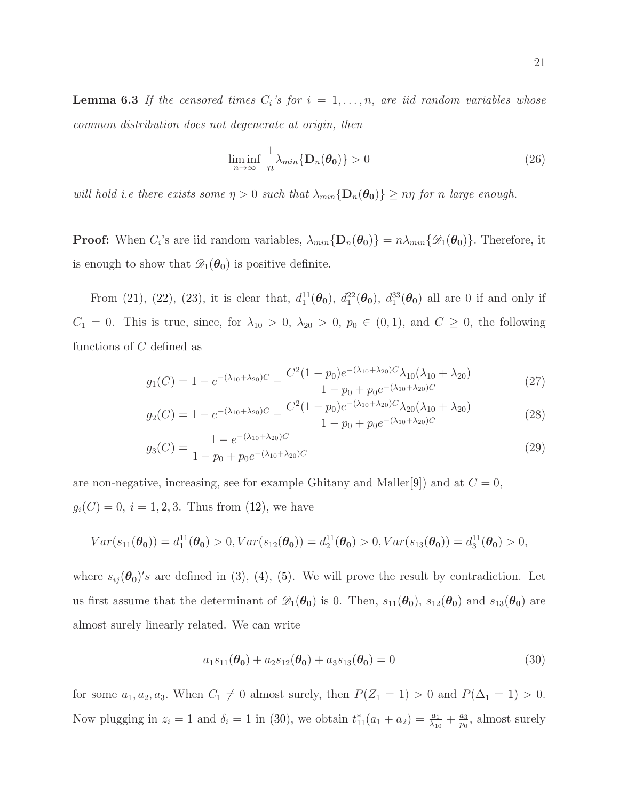**Lemma 6.3** If the censored times  $C_i$ 's for  $i = 1, \ldots, n$ , are iid random variables whose *common distribution does not degenerate at origin, then*

<span id="page-20-1"></span>
$$
\liminf_{n \to \infty} \frac{1}{n} \lambda_{\min} \{ \mathbf{D}_n(\boldsymbol{\theta}_0) \} > 0 \tag{26}
$$

*will hold i.e there exists some*  $\eta > 0$  *such that*  $\lambda_{min} \{D_n(\theta_0)\} \geq n\eta$  *for n large enough.* 

**Proof:** When  $C_i$ 's are iid random variables,  $\lambda_{min} \{ \mathbf{D}_n(\theta_0) \} = n \lambda_{min} \{ \mathcal{D}_1(\theta_0) \}$ . Therefore, it is enough to show that  $\mathscr{D}_1(\theta_0)$  is positive definite.

From [\(21\)](#page-19-2), [\(22\)](#page-19-3), [\(23\)](#page-19-4), it is clear that,  $d_1^{11}(\theta_0)$ ,  $d_1^{22}(\theta_0)$ ,  $d_1^{33}(\theta_0)$  all are 0 if and only if  $C_1 = 0$ . This is true, since, for  $\lambda_{10} > 0$ ,  $\lambda_{20} > 0$ ,  $p_0 \in (0,1)$ , and  $C \geq 0$ , the following functions of C defined as

$$
g_1(C) = 1 - e^{-(\lambda_{10} + \lambda_{20})C} - \frac{C^2 (1 - p_0) e^{-(\lambda_{10} + \lambda_{20})C} \lambda_{10} (\lambda_{10} + \lambda_{20})}{1 - p_0 + p_0 e^{-(\lambda_{10} + \lambda_{20})C}}
$$
(27)

$$
g_2(C) = 1 - e^{-(\lambda_{10} + \lambda_{20})C} - \frac{C^2 (1 - p_0) e^{-(\lambda_{10} + \lambda_{20})C} \lambda_{20} (\lambda_{10} + \lambda_{20})}{1 - p_0 + p_0 e^{-(\lambda_{10} + \lambda_{20})C}}
$$
(28)

$$
g_3(C) = \frac{1 - e^{-(\lambda_{10} + \lambda_{20})C}}{1 - p_0 + p_0 e^{-(\lambda_{10} + \lambda_{20})C}}
$$
(29)

are non-negative, increasing, see for example Ghitany and Maller<sup>[\[9\]](#page-30-7)</sup>) and at  $C = 0$ ,  $g_i(C) = 0, i = 1, 2, 3$ . Thus from [\(12\)](#page-17-1), we have

$$
Var(s_{11}(\theta_0)) = d_1^{11}(\theta_0) > 0, Var(s_{12}(\theta_0)) = d_2^{11}(\theta_0) > 0, Var(s_{13}(\theta_0)) = d_3^{11}(\theta_0) > 0,
$$

where  $s_{ij}(\theta_0)'s$  are defined in [\(3\)](#page-6-2), [\(4\)](#page-6-2), [\(5\)](#page-6-2). We will prove the result by contradiction. Let us first assume that the determinant of  $\mathscr{D}_1(\theta_0)$  is 0. Then,  $s_{11}(\theta_0)$ ,  $s_{12}(\theta_0)$  and  $s_{13}(\theta_0)$  are almost surely linearly related. We can write

<span id="page-20-0"></span>
$$
a_1 s_{11}(\theta_0) + a_2 s_{12}(\theta_0) + a_3 s_{13}(\theta_0) = 0
$$
\n(30)

for some  $a_1, a_2, a_3$ . When  $C_1 \neq 0$  almost surely, then  $P(Z_1 = 1) > 0$  and  $P(\Delta_1 = 1) > 0$ . Now plugging in  $z_i = 1$  and  $\delta_i = 1$  in [\(30\)](#page-20-0), we obtain  $t_{11}^*(a_1 + a_2) = \frac{a_1}{\lambda_{10}} + \frac{a_3}{p_0}$  $\frac{a_3}{p_0}$ , almost surely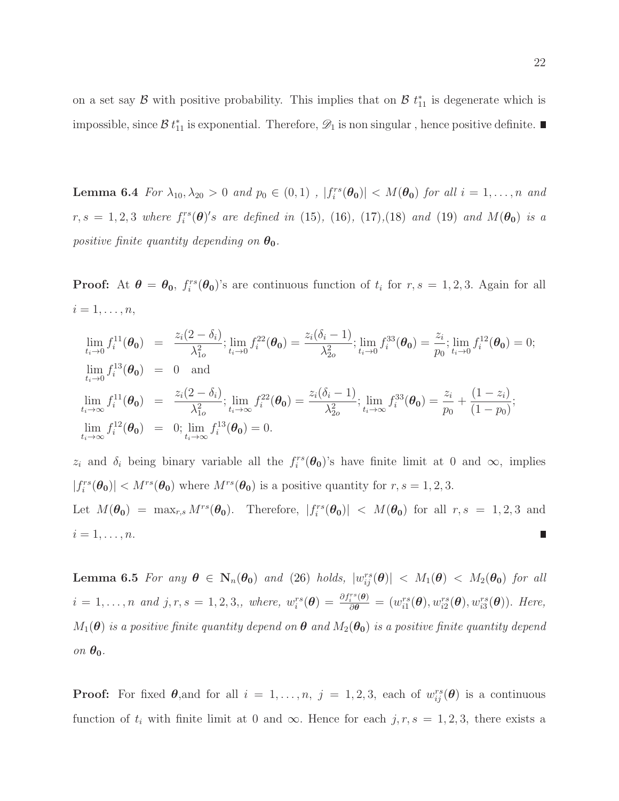<span id="page-21-0"></span>on a set say  $\mathcal B$  with positive probability. This implies that on  $\mathcal B$   $t_{11}^*$  is degenerate which is impossible, since  $\mathcal{B} t_{11}^*$  is exponential. Therefore,  $\mathscr{D}_1$  is non singular, hence positive definite.

**Lemma 6.4** *For*  $\lambda_{10}, \lambda_{20} > 0$  *and*  $p_0 \in (0, 1)$  *,*  $|f_i^{rs}(\theta_0)| < M(\theta_0)$  *for all*  $i = 1, ..., n$  *and*  $r, s = 1, 2, 3$  where  $f_i^{rs}(\theta)'s$  are defined in [\(15\)](#page-17-2), [\(16\)](#page-17-3), [\(17\)](#page-17-4), [\(18\)](#page-17-5) and [\(19\)](#page-17-6) and  $M(\theta_0)$  is a *positive finite quantity depending on*  $\theta_0$ .

**Proof:** At  $\theta = \theta_0$ ,  $f_i^{rs}(\theta_0)$ 's are continuous function of  $t_i$  for  $r, s = 1, 2, 3$ . Again for all  $i=1,\ldots,n,$ 

$$
\lim_{t_i \to 0} f_i^{11}(\theta_0) = \frac{z_i(2 - \delta_i)}{\lambda_{1o}^2}; \lim_{t_i \to 0} f_i^{22}(\theta_0) = \frac{z_i(\delta_i - 1)}{\lambda_{2o}^2}; \lim_{t_i \to 0} f_i^{33}(\theta_0) = \frac{z_i}{p_0}; \lim_{t_i \to 0} f_i^{12}(\theta_0) = 0;
$$
\n
$$
\lim_{t_i \to \infty} f_i^{11}(\theta_0) = 0 \text{ and}
$$
\n
$$
\lim_{t_i \to \infty} f_i^{11}(\theta_0) = \frac{z_i(2 - \delta_i)}{\lambda_{1o}^2}; \lim_{t_i \to \infty} f_i^{22}(\theta_0) = \frac{z_i(\delta_i - 1)}{\lambda_{2o}^2}; \lim_{t_i \to \infty} f_i^{33}(\theta_0) = \frac{z_i}{p_0} + \frac{(1 - z_i)}{(1 - p_0)};
$$
\n
$$
\lim_{t_i \to \infty} f_i^{12}(\theta_0) = 0; \lim_{t_i \to \infty} f_i^{13}(\theta_0) = 0.
$$

 $z_i$  and  $\delta_i$  being binary variable all the  $f_i^{rs}(\theta_0)$ 's have finite limit at 0 and  $\infty$ , implies  $|f_i^{rs}(\theta_0)| < M^{rs}(\theta_0)$  where  $M^{rs}(\theta_0)$  is a positive quantity for  $r, s = 1, 2, 3$ . Let  $M(\theta_0) = \max_{r,s} M^{rs}(\theta_0)$ . Therefore,  $|f_i^{rs}(\theta_0)| < M(\theta_0)$  for all  $r, s = 1, 2, 3$  and  $i=1,\ldots,n.$  $\blacksquare$ 

<span id="page-21-1"></span>Lemma 6.5 *For any*  $\theta \in N_n(\theta_0)$  *and* [\(26\)](#page-20-1) *holds*,  $|w_{ij}^{rs}(\theta)| < M_1(\theta) < M_2(\theta_0)$  *for all*  $i = 1, \ldots, n$  and  $j, r, s = 1, 2, 3,$ , where,  $w_i^{rs}(\boldsymbol{\theta}) = \frac{\partial f_i^{rs}(\boldsymbol{\theta})}{\partial \boldsymbol{\theta}} = (w_{i1}^{rs}(\boldsymbol{\theta}), w_{i2}^{rs}(\boldsymbol{\theta}), w_{i3}^{rs}(\boldsymbol{\theta}))$ . Here,  $M_1(\theta)$  *is a positive finite quantity depend on*  $\theta$  *and*  $M_2(\theta_0)$  *is a positive finite quantity depend*  $\partial n \theta_0$ .

**Proof:** For fixed  $\theta$ , and for all  $i = 1, \ldots, n$ ,  $j = 1, 2, 3$ , each of  $w_{ij}^{rs}(\theta)$  is a continuous function of  $t_i$  with finite limit at 0 and  $\infty$ . Hence for each  $j, r, s = 1, 2, 3$ , there exists a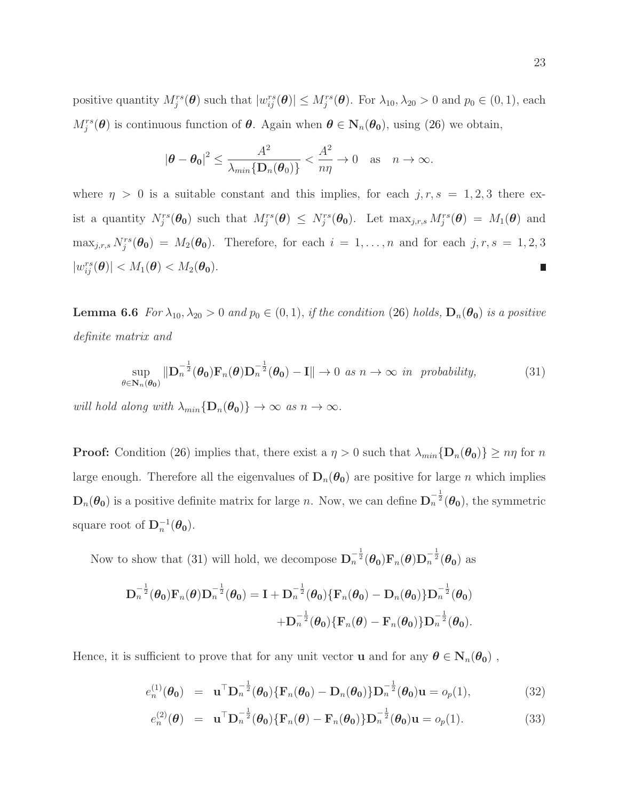positive quantity  $M_j^{rs}(\theta)$  such that  $|w_{ij}^{rs}(\theta)| \le M_j^{rs}(\theta)$ . For  $\lambda_{10}, \lambda_{20} > 0$  and  $p_0 \in (0, 1)$ , each  $M_j^{rs}(\theta)$  is continuous function of  $\theta$ . Again when  $\theta \in N_n(\theta_0)$ , using [\(26\)](#page-20-1) we obtain,

$$
|\boldsymbol{\theta}-\boldsymbol{\theta}_0|^2 \leq \frac{A^2}{\lambda_{min}\{\mathbf{D}_n(\boldsymbol{\theta}_0)\}} < \frac{A^2}{n\eta} \to 0 \quad \text{as} \quad n \to \infty.
$$

where  $\eta > 0$  is a suitable constant and this implies, for each  $j, r, s = 1, 2, 3$  there exist a quantity  $N_j^{rs}(\theta_0)$  such that  $M_j^{rs}(\theta) \leq N_j^{rs}(\theta_0)$ . Let  $\max_{j,r,s} M_j^{rs}(\theta) = M_1(\theta)$  and  $\max_{j,r,s} N_j^{rs}(\theta_0) = M_2(\theta_0)$ . Therefore, for each  $i = 1,\ldots,n$  and for each  $j, r, s = 1,2,3$  $|w_{ij}^{rs}(\boldsymbol{\theta})| < M_1(\boldsymbol{\theta}) < M_2(\boldsymbol{\theta_0}).$ L.

<span id="page-22-0"></span>**Lemma 6.6** *For*  $\lambda_{10}, \lambda_{20} > 0$  *and*  $p_0 \in (0, 1)$ *, if the condition* [\(26\)](#page-20-1) *holds*,  $\mathbf{D}_n(\theta_0)$  *is a positive definite matrix and*

<span id="page-22-1"></span>
$$
\sup_{\theta \in \mathbf{N}_n(\boldsymbol{\theta}_0)} \|\mathbf{D}_n^{-\frac{1}{2}}(\boldsymbol{\theta}_0)\mathbf{F}_n(\boldsymbol{\theta})\mathbf{D}_n^{-\frac{1}{2}}(\boldsymbol{\theta}_0) - \mathbf{I}\| \to 0 \text{ as } n \to \infty \text{ in probability}, \tag{31}
$$

*will hold along with*  $\lambda_{min} \{D_n(\theta_0)\} \to \infty$  *as*  $n \to \infty$ *.* 

**Proof:** Condition [\(26\)](#page-20-1) implies that, there exist a  $\eta > 0$  such that  $\lambda_{min} \{D_n(\theta_0)\} \geq n\eta$  for n large enough. Therefore all the eigenvalues of  $D_n(\theta_0)$  are positive for large n which implies  $D_n(\theta_0)$  is a positive definite matrix for large n. Now, we can define  $D_n^{-\frac{1}{2}}(\theta_0)$ , the symmetric square root of  $\mathbf{D}_n^{-1}(\theta_0)$ .

Now to show that [\(31\)](#page-22-1) will hold, we decompose  $\mathbf{D}_n^{-\frac{1}{2}}(\theta_0)\mathbf{F}_n(\theta)\mathbf{D}_n^{-\frac{1}{2}}(\theta_0)$  as

$$
\begin{aligned} \mathbf{D}_n^{-\frac{1}{2}}(\boldsymbol{\theta}_0)\mathbf{F}_n(\boldsymbol{\theta})\mathbf{D}_n^{-\frac{1}{2}}(\boldsymbol{\theta}_0) = \mathbf{I} + \mathbf{D}_n^{-\frac{1}{2}}(\boldsymbol{\theta}_0)\{\mathbf{F}_n(\boldsymbol{\theta}_0) - \mathbf{D}_n(\boldsymbol{\theta}_0)\}\mathbf{D}_n^{-\frac{1}{2}}(\boldsymbol{\theta}_0) \\ + \mathbf{D}_n^{-\frac{1}{2}}(\boldsymbol{\theta}_0)\{\mathbf{F}_n(\boldsymbol{\theta}) - \mathbf{F}_n(\boldsymbol{\theta}_0)\}\mathbf{D}_n^{-\frac{1}{2}}(\boldsymbol{\theta}_0). \end{aligned}
$$

Hence, it is sufficient to prove that for any unit vector **u** and for any  $\theta \in N_n(\theta_0)$ ,

<span id="page-22-2"></span>
$$
e_n^{(1)}(\theta_0) = \mathbf{u}^{\top} \mathbf{D}_n^{-\frac{1}{2}}(\theta_0) \{ \mathbf{F}_n(\theta_0) - \mathbf{D}_n(\theta_0) \} \mathbf{D}_n^{-\frac{1}{2}}(\theta_0) \mathbf{u} = o_p(1),
$$
\n(32)

$$
e_n^{(2)}(\boldsymbol{\theta}) = \mathbf{u}^{\top} \mathbf{D}_n^{-\frac{1}{2}}(\boldsymbol{\theta_0}) \{ \mathbf{F}_n(\boldsymbol{\theta}) - \mathbf{F}_n(\boldsymbol{\theta_0}) \} \mathbf{D}_n^{-\frac{1}{2}}(\boldsymbol{\theta_0}) \mathbf{u} = o_p(1).
$$
 (33)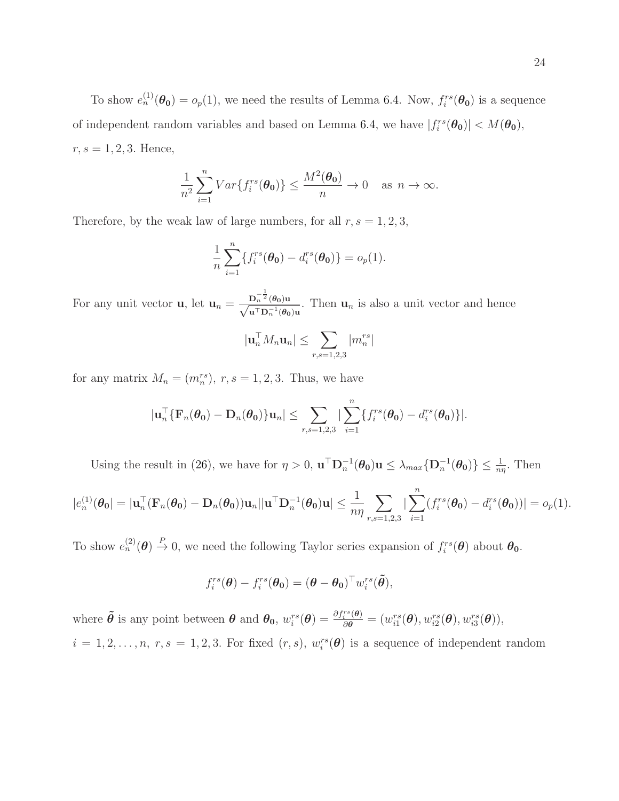To show  $e_n^{(1)}(\theta_0) = o_p(1)$ , we need the results of Lemma [6.4.](#page-21-0) Now,  $f_i^{rs}(\theta_0)$  is a sequence of independent random variables and based on Lemma [6.4,](#page-21-0) we have  $|f_i^{rs}(\theta_0)| < M(\theta_0)$ ,  $r, s = 1, 2, 3$ . Hence,

$$
\frac{1}{n^2} \sum_{i=1}^n Var\{f_i^{rs}(\boldsymbol{\theta_0})\} \le \frac{M^2(\boldsymbol{\theta_0})}{n} \to 0 \quad \text{as } n \to \infty.
$$

Therefore, by the weak law of large numbers, for all  $r, s = 1, 2, 3$ ,

$$
\frac{1}{n}\sum_{i=1}^n \{f_i^{rs}(\boldsymbol{\theta_0}) - d_i^{rs}(\boldsymbol{\theta_0})\} = o_p(1).
$$

For any unit vector **u**, let  $\mathbf{u}_n = \frac{\mathbf{D}_n^{-\frac{1}{2}}(\theta_0)\mathbf{u}}{\sqrt{\mathbf{u}^\top \mathbf{D}_n^{-1}(\theta_0)\mathbf{u}}}$ . Then  $\mathbf{u}_n$  is also a unit vector and hence

$$
|\mathbf{u}_n^\top M_n \mathbf{u}_n| \le \sum_{r,s=1,2,3} |m_n^{rs}|
$$

for any matrix  $M_n = (m_n^{rs}), r, s = 1, 2, 3$ . Thus, we have

$$
|\mathbf{u}_n^{\top} \{\mathbf{F}_n(\boldsymbol{\theta_0}) - \mathbf{D}_n(\boldsymbol{\theta_0})\} \mathbf{u}_n| \leq \sum_{r,s=1,2,3} |\sum_{i=1}^n \{f_i^{rs}(\boldsymbol{\theta_0}) - d_i^{rs}(\boldsymbol{\theta_0})\}|.
$$

Using the result in [\(26\)](#page-20-1), we have for  $\eta > 0$ ,  $\mathbf{u}^\top \mathbf{D}_n^{-1}(\theta_0) \mathbf{u} \leq \lambda_{max} \{ \mathbf{D}_n^{-1}(\theta_0) \} \leq \frac{1}{n\eta}$ . Then

$$
|e_n^{(1)}(\boldsymbol{\theta_0})| = |\mathbf{u}_n^\top(\mathbf{F}_n(\boldsymbol{\theta_0}) - \mathbf{D}_n(\boldsymbol{\theta_0}))\mathbf{u}_n||\mathbf{u}^\top \mathbf{D}_n^{-1}(\boldsymbol{\theta_0})\mathbf{u}| \leq \frac{1}{n\eta} \sum_{r,s=1,2,3} |\sum_{i=1}^n (f_i^{rs}(\boldsymbol{\theta_0}) - d_i^{rs}(\boldsymbol{\theta_0}))| = o_p(1).
$$

To show  $e_n^{(2)}(\theta) \stackrel{P}{\to} 0$ , we need the following Taylor series expansion of  $f_i^{rs}(\theta)$  about  $\theta_0$ .

$$
f_i^{rs}(\boldsymbol{\theta}) - f_i^{rs}(\boldsymbol{\theta_0}) = (\boldsymbol{\theta} - \boldsymbol{\theta_0})^{\top} w_i^{rs}(\tilde{\boldsymbol{\theta}}),
$$

where  $\tilde{\boldsymbol{\theta}}$  is any point between  $\boldsymbol{\theta}$  and  $\boldsymbol{\theta}_0$ ,  $w_i^{rs}(\boldsymbol{\theta}) = \frac{\partial f_i^{rs}(\boldsymbol{\theta})}{\partial \boldsymbol{\theta}} = (w_{i1}^{rs}(\boldsymbol{\theta}), w_{i2}^{rs}(\boldsymbol{\theta}), w_{i3}^{rs}(\boldsymbol{\theta})),$  $i = 1, 2, \ldots, n, r, s = 1, 2, 3$ . For fixed  $(r, s), w_i^{rs}(\theta)$  is a sequence of independent random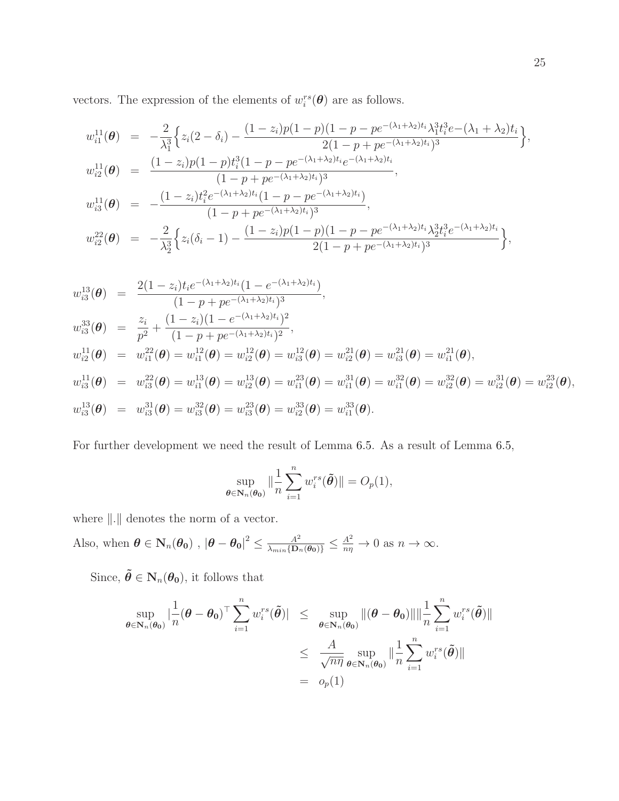vectors. The expression of the elements of  $w_i^{rs}(\theta)$  are as follows.

$$
w_{i1}^{11}(\theta) = -\frac{2}{\lambda_1^3} \Big\{ z_i(2-\delta_i) - \frac{(1-z_i)p(1-p)(1-p-p e^{-(\lambda_1+\lambda_2)t_i}\lambda_1^3 t_i^3 e^{-(\lambda_1+\lambda_2)t_i}}{2(1-p+p e^{-(\lambda_1+\lambda_2)t_i})^3} \Big\},
$$
  
\n
$$
w_{i2}^{11}(\theta) = \frac{(1-z_i)p(1-p)t_i^3(1-p-p e^{-(\lambda_1+\lambda_2)t_i} e^{-(\lambda_1+\lambda_2)t_i})^3}{(1-p+p e^{-(\lambda_1+\lambda_2)t_i})^3},
$$
  
\n
$$
w_{i3}^{11}(\theta) = -\frac{(1-z_i)t_i^2 e^{-(\lambda_1+\lambda_2)t_i}(1-p-p e^{-(\lambda_1+\lambda_2)t_i})}{(1-p+p e^{-(\lambda_1+\lambda_2)t_i})^3},
$$
  
\n
$$
w_{i2}^{22}(\theta) = -\frac{2}{\lambda} \Big\{ z_i(\delta_i-1) - \frac{(1-z_i)p(1-p)(1-p-p e^{-(\lambda_1+\lambda_2)t_i}\lambda_2^3 t_i^3 e^{-(\lambda_1+\lambda_2)t_i}}{2}\Big\}
$$

$$
w_{i2}^{22}(\boldsymbol{\theta}) = -\frac{2}{\lambda_2^3}\Big\{z_i(\delta_i-1)-\frac{(1-z_i)p(1-p)(1-p-pe^{-(1+z_i)^2})\lambda_2t_i e^{-(1+z_i)^2}}{2(1-p+p e^{-(\lambda_1+\lambda_2)t_i})^3}\Big\},
$$

$$
w_{i3}^{13}(\theta) = \frac{2(1-z_i)t_i e^{-(\lambda_1+\lambda_2)t_i}(1-e^{-(\lambda_1+\lambda_2)t_i})}{(1-p+pe^{-(\lambda_1+\lambda_2)t_i})^3},
$$
  
\n
$$
w_{i3}^{33}(\theta) = \frac{z_i}{p^2} + \frac{(1-z_i)(1-e^{-(\lambda_1+\lambda_2)t_i})^2}{(1-p+pe^{-(\lambda_1+\lambda_2)t_i})^2},
$$
  
\n
$$
w_{i2}^{11}(\theta) = w_{i1}^{22}(\theta) = w_{i1}^{12}(\theta) = w_{i2}^{12}(\theta) = w_{i3}^{12}(\theta) = w_{i2}^{21}(\theta) = w_{i3}^{21}(\theta) = w_{i1}^{21}(\theta),
$$
  
\n
$$
w_{i3}^{11}(\theta) = w_{i3}^{22}(\theta) = w_{i1}^{13}(\theta) = w_{i2}^{13}(\theta) = w_{i1}^{31}(\theta) = w_{i1}^{31}(\theta) = w_{i2}^{32}(\theta) = w_{i2}^{31}(\theta) = w_{i2}^{31}(\theta) = w_{i2}^{31}(\theta),
$$
  
\n
$$
w_{i3}^{13}(\theta) = w_{i3}^{31}(\theta) = w_{i3}^{32}(\theta) = w_{i3}^{33}(\theta) = w_{i2}^{33}(\theta) = w_{i1}^{33}(\theta).
$$

For further development we need the result of Lemma [6.5.](#page-21-1) As a result of Lemma [6.5,](#page-21-1)

$$
\sup_{\boldsymbol{\theta}\in\mathbf{N}_n(\boldsymbol{\theta_0})} \|\frac{1}{n}\sum_{i=1}^n w_i^{rs}(\tilde{\boldsymbol{\theta}})\| = O_p(1),
$$

where  $\|.\|$  denotes the norm of a vector.

Also, when 
$$
\theta \in \mathbf{N}_n(\theta_0)
$$
,  $|\theta - \theta_0|^2 \leq \frac{A^2}{\lambda_{min}\{\mathbf{D}_n(\theta_0)\}} \leq \frac{A^2}{n\eta} \to 0$  as  $n \to \infty$ .

Since,  $\tilde{\boldsymbol{\theta}} \in \mathbf{N}_n(\boldsymbol{\theta_0}),$  it follows that

$$
\sup_{\theta \in \mathbf{N}_n(\theta_0)} |\frac{1}{n}(\theta - \theta_0)^{\top} \sum_{i=1}^n w_i^{rs}(\tilde{\theta})| \le \sup_{\theta \in \mathbf{N}_n(\theta_0)} ||(\theta - \theta_0)|| || \frac{1}{n} \sum_{i=1}^n w_i^{rs}(\tilde{\theta})||
$$
  

$$
\le \frac{A}{\sqrt{n\eta}} \sup_{\theta \in \mathbf{N}_n(\theta_0)} || \frac{1}{n} \sum_{i=1}^n w_i^{rs}(\tilde{\theta})||
$$
  

$$
= o_p(1)
$$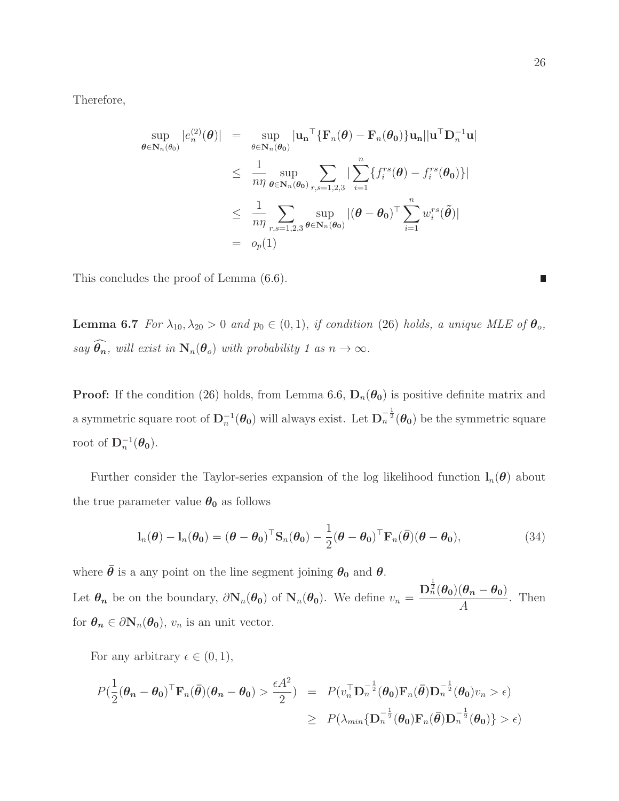Therefore,

$$
\sup_{\theta \in \mathbf{N}_n(\theta_0)} |e_n^{(2)}(\theta)| = \sup_{\theta \in \mathbf{N}_n(\theta_0)} |\mathbf{u_n}^\top \{ \mathbf{F}_n(\theta) - \mathbf{F}_n(\theta_0) \} \mathbf{u_n}|| \mathbf{u}^\top \mathbf{D}_n^{-1} \mathbf{u}|
$$
\n
$$
\leq \frac{1}{n\eta} \sup_{\theta \in \mathbf{N}_n(\theta_0)} \sum_{r,s=1,2,3} |\sum_{i=1}^n \{ f_i^{rs}(\theta) - f_i^{rs}(\theta_0) \} |
$$
\n
$$
\leq \frac{1}{n\eta} \sum_{r,s=1,2,3} \sup_{\theta \in \mathbf{N}_n(\theta_0)} |(\theta - \theta_0)^\top \sum_{i=1}^n w_i^{rs}(\tilde{\theta})|
$$
\n
$$
= o_p(1)
$$

<span id="page-25-0"></span>This concludes the proof of Lemma [\(6.6\)](#page-22-0).

**Lemma 6.7** *For*  $\lambda_{10}, \lambda_{20} > 0$  *and*  $p_0 \in (0, 1)$ , *if condition* [\(26\)](#page-20-1) *holds, a unique MLE of*  $\theta_o$ ,  $say \widehat{\theta_n}$ , *will exist in*  $N_n(\theta_o)$  *with probability 1 as*  $n \to \infty$ *.* 

**Proof:** If the condition [\(26\)](#page-20-1) holds, from Lemma [6.6,](#page-22-0)  $D_n(\theta_0)$  is positive definite matrix and a symmetric square root of  $D_n^{-1}(\theta_0)$  will always exist. Let  $D_n^{-\frac{1}{2}}(\theta_0)$  be the symmetric square root of  $\mathbf{D}_n^{-1}(\boldsymbol{\theta_0})$ .

Further consider the Taylor-series expansion of the log likelihood function  $l_n(\theta)$  about the true parameter value  $\theta_0$  as follows

$$
\mathbf{l}_n(\boldsymbol{\theta}) - \mathbf{l}_n(\boldsymbol{\theta_0}) = (\boldsymbol{\theta} - \boldsymbol{\theta_0})^\top \mathbf{S}_n(\boldsymbol{\theta_0}) - \frac{1}{2} (\boldsymbol{\theta} - \boldsymbol{\theta_0})^\top \mathbf{F}_n(\boldsymbol{\bar{\theta}}) (\boldsymbol{\theta} - \boldsymbol{\theta_0}),
$$
\n(34)

where  $\bar{\theta}$  is a any point on the line segment joining  $\theta_0$  and  $\theta$ . Let  $\theta_n$  be on the boundary,  $\partial N_n(\theta_0)$  of  $N_n(\theta_0)$ . We define  $v_n = \frac{D_n^{\frac{1}{2}}(\theta_0)(\theta_n - \theta_0)}{4}$  $\frac{(8n-80)}{A}$ . Then

for  $\theta_n \in \partial N_n(\theta_0)$ ,  $v_n$  is an unit vector.

For any arbitrary  $\epsilon \in (0,1)$ ,

$$
P(\frac{1}{2}(\boldsymbol{\theta}_n - \boldsymbol{\theta}_0)^{\top} \mathbf{F}_n(\bar{\boldsymbol{\theta}})(\boldsymbol{\theta}_n - \boldsymbol{\theta}_0) > \frac{\epsilon A^2}{2}) = P(v_n^{\top} \mathbf{D}_n^{-\frac{1}{2}}(\boldsymbol{\theta}_0) \mathbf{F}_n(\bar{\boldsymbol{\theta}}) \mathbf{D}_n^{-\frac{1}{2}}(\boldsymbol{\theta}_0) v_n > \epsilon) \geq P(\lambda_{min} {\{\mathbf{D}_n^{-\frac{1}{2}}(\boldsymbol{\theta}_0) \mathbf{F}_n(\bar{\boldsymbol{\theta}}) \mathbf{D}_n^{-\frac{1}{2}}(\boldsymbol{\theta}_0) \} > \epsilon)
$$

 $\Box$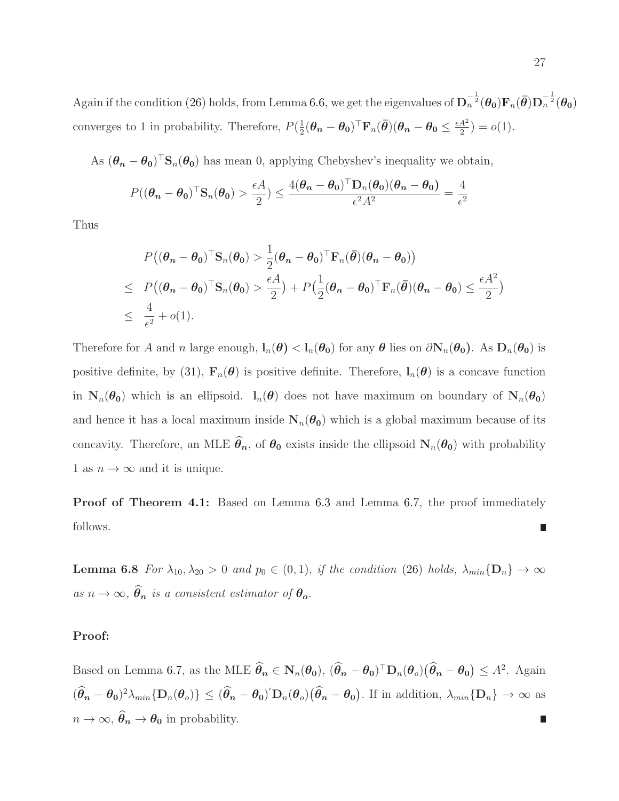Again if the condition [\(26\)](#page-20-1) holds, from Lemma [6.6,](#page-22-0) we get the eigenvalues of  $\mathbf{D}_n^{-\frac{1}{2}}(\theta_0)\mathbf{F}_n(\bar{\theta})\mathbf{D}_n^{-\frac{1}{2}}(\theta_0)$ converges to 1 in probability. Therefore,  $P(\frac{1}{2})$  $\frac{1}{2}(\boldsymbol{\theta_n}-\boldsymbol{\theta_0})^{\top}\text{F}_n(\bar{\boldsymbol{\theta}})(\boldsymbol{\theta_n}-\boldsymbol{\theta_0}\leq\frac{\epsilon A^2}{2})$  $\frac{A^2}{2}$ ) =  $o(1)$ .

As  $(\theta_n - \theta_0)^\top S_n(\theta_0)$  has mean 0, applying Chebyshev's inequality we obtain,

$$
P((\theta_n - \theta_0)^{\top} \mathbf{S}_n(\theta_0) > \frac{\epsilon A}{2}) \le \frac{4(\theta_n - \theta_0)^{\top} \mathbf{D}_n(\theta_0)(\theta_n - \theta_0)}{\epsilon^2 A^2} = \frac{4}{\epsilon^2}
$$

Thus

$$
P((\theta_n - \theta_0)^\top \mathbf{S}_n(\theta_0) > \frac{1}{2}(\theta_n - \theta_0)^\top \mathbf{F}_n(\bar{\theta})(\theta_n - \theta_0))
$$
  
\n
$$
\leq P((\theta_n - \theta_0)^\top \mathbf{S}_n(\theta_0) > \frac{\epsilon A}{2}) + P(\frac{1}{2}(\theta_n - \theta_0)^\top \mathbf{F}_n(\bar{\theta})(\theta_n - \theta_0) \leq \frac{\epsilon A^2}{2})
$$
  
\n
$$
\leq \frac{4}{\epsilon^2} + o(1).
$$

Therefore for A and n large enough,  $l_n(\theta) < l_n(\theta_0)$  for any  $\theta$  lies on  $\partial N_n(\theta_0)$ . As  $D_n(\theta_0)$  is positive definite, by [\(31\)](#page-22-1),  $\mathbf{F}_n(\theta)$  is positive definite. Therefore,  $\mathbf{l}_n(\theta)$  is a concave function in  $N_n(\theta_0)$  which is an ellipsoid.  $l_n(\theta)$  does not have maximum on boundary of  $N_n(\theta_0)$ and hence it has a local maximum inside  $N_n(\theta_0)$  which is a global maximum because of its concavity. Therefore, an MLE  $\hat{\theta}_n$ , of  $\theta_0$  exists inside the ellipsoid  $N_n(\theta_0)$  with probability 1 as  $n \to \infty$  and it is unique.

<span id="page-26-0"></span>Proof of Theorem [4.1:](#page-10-0) Based on Lemma [6.3](#page-19-1) and Lemma [6.7,](#page-25-0) the proof immediately follows.

**Lemma 6.8** *For*  $\lambda_{10}, \lambda_{20} > 0$  *and*  $p_0 \in (0, 1)$ , *if the condition* [\(26\)](#page-20-1) *holds*,  $\lambda_{min}$  { $\mathbf{D}_n$ }  $\rightarrow \infty$  $as n \to \infty$ ,  $\widehat{\theta}_n$  *is a consistent estimator of*  $\theta_o$ .

#### Proof:

Based on Lemma [6.7,](#page-25-0) as the MLE  $\widehat{\theta}_n \in N_n(\theta_0)$ ,  $(\widehat{\theta}_n - \theta_0)^\top D_n(\theta_o)(\widehat{\theta}_n - \theta_0) \leq A^2$ . Again  $(\hat{\theta}_n - \theta_0)^2 \lambda_{min} \{ D_n(\theta_o) \} \leq (\hat{\theta}_n - \theta_0)^{\prime} D_n(\theta_o) (\hat{\theta}_n - \theta_0).$  If in addition,  $\lambda_{min} \{ D_n \} \to \infty$  as  $n \to \infty$ ,  $\widehat{\theta}_n \to \theta_0$  in probability. L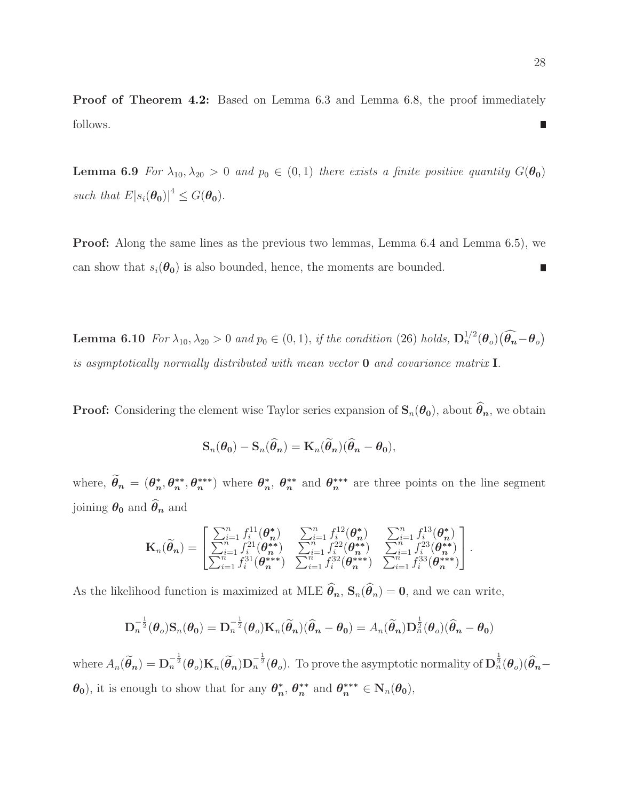<span id="page-27-1"></span>Proof of Theorem [4.2:](#page-10-1) Based on Lemma [6.3](#page-19-1) and Lemma [6.8,](#page-26-0) the proof immediately follows. H

**Lemma 6.9** *For*  $\lambda_{10}, \lambda_{20} > 0$  *and*  $p_0 \in (0, 1)$  *there exists a finite positive quantity*  $G(\theta_0)$ *such that*  $E|s_i(\theta_0)|^4 \leq G(\theta_0)$ .

<span id="page-27-0"></span>Proof: Along the same lines as the previous two lemmas, Lemma [6.4](#page-21-0) and Lemma [6.5\)](#page-21-1), we can show that  $s_i(\theta_0)$  is also bounded, hence, the moments are bounded.  $\overline{\phantom{a}}$ 

**Lemma 6.10** *For*  $\lambda_{10}, \lambda_{20} > 0$  *and*  $p_0 \in (0, 1)$ , *if the condition* [\(26\)](#page-20-1) *holds*,  $\mathbf{D}_n^{1/2}(\theta_o)(\widehat{\theta_n} - \theta_o)$ *is asymptotically normally distributed with mean vector* 0 *and covariance matrix* I.

**Proof:** Considering the element wise Taylor series expansion of  $S_n(\theta_0)$ , about  $\widehat{\theta}_n$ , we obtain

$$
\mathbf{S}_n(\boldsymbol{\theta_0}) - \mathbf{S}_n(\widehat{\boldsymbol{\theta}_n}) = \mathbf{K}_n(\widetilde{\boldsymbol{\theta}_n})(\widehat{\boldsymbol{\theta}_n} - \boldsymbol{\theta_0}),
$$

where,  $\widetilde{\theta}_n = (\theta_n^*)$  $_{n}^{*},\theta_{n}^{**}$  $_{n}^{**},\theta_{n}^{***}$ <sup>\*\*\*</sup>) where  $\theta_n^*$ \*,  $\theta_n^{**}$ \*\* and  $\theta_n^{***}$  $n^{***}$  are three points on the line segment joining  $\theta_0$  and  $\widehat{\theta}_n$  and

$$
\mathbf{K}_{n}(\widetilde{\theta}_{n}) = \begin{bmatrix} \sum_{i=1}^{n} f_{i}^{11}(\theta_{n}^{*}) & \sum_{i=1}^{n} f_{i}^{12}(\theta_{n}^{*}) & \sum_{i=1}^{n} f_{i}^{13}(\theta_{n}^{*}) \\ \sum_{i=1}^{n} f_{i}^{21}(\theta_{n}^{*}) & \sum_{i=1}^{n} f_{i}^{22}(\theta_{n}^{*}) & \sum_{i=1}^{n} f_{i}^{23}(\theta_{n}^{*}) \\ \sum_{i=1}^{n} f_{i}^{31}(\theta_{n}^{***}) & \sum_{i=1}^{n} f_{i}^{32}(\theta_{n}^{***}) & \sum_{i=1}^{n} f_{i}^{33}(\theta_{n}^{***}) \end{bmatrix}.
$$

As the likelihood function is maximized at MLE  $\hat{\theta}_n$ ,  $\mathbf{S}_n(\hat{\theta}_n) = \mathbf{0}$ , and we can write,

$$
\mathbf{D}_n^{-\frac{1}{2}}(\boldsymbol{\theta}_o)\mathbf{S}_n(\boldsymbol{\theta}_0)=\mathbf{D}_n^{-\frac{1}{2}}(\boldsymbol{\theta}_o)\mathbf{K}_n(\widetilde{\boldsymbol{\theta}}_n)(\widehat{\boldsymbol{\theta}}_n-\boldsymbol{\theta}_0)=A_n(\widetilde{\boldsymbol{\theta}}_n)\mathbf{D}_n^{\frac{1}{2}}(\boldsymbol{\theta}_o)(\widehat{\boldsymbol{\theta}}_n-\boldsymbol{\theta}_0)
$$

where  $A_n(\tilde{\theta}_n) = \mathbf{D}_n^{-\frac{1}{2}}(\theta_o) \mathbf{K}_n(\tilde{\theta}_n) \mathbf{D}_n^{-\frac{1}{2}}(\theta_o)$ . To prove the asymptotic normality of  $\mathbf{D}_n^{\frac{1}{2}}(\theta_o)(\hat{\theta}_n - \theta_o)$  $\theta_0$ , it is enough to show that for any  $\theta_n^*$  $\hat{h}_n^*, \theta_n^{**}$ \*\* and  $\theta_n^{***} \in N_n(\theta_0)$ ,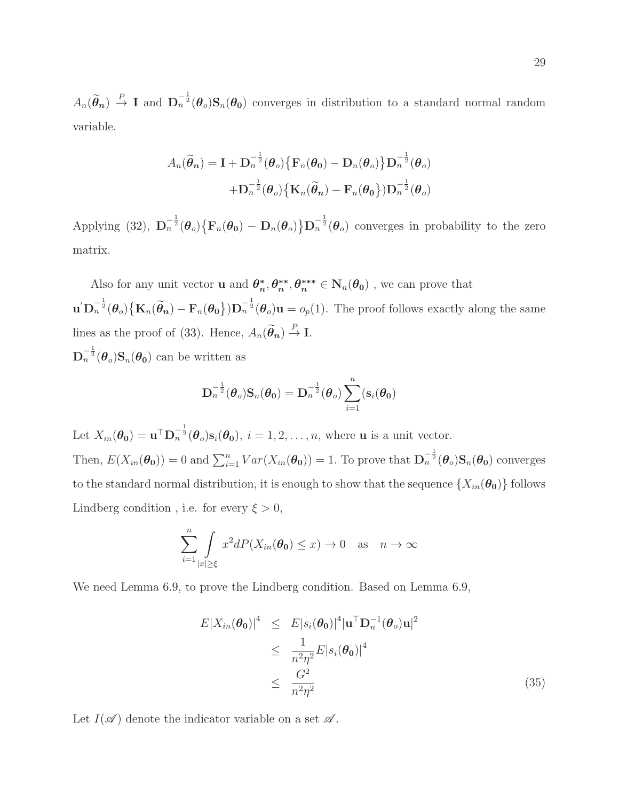$A_n(\tilde{\theta}_n) \stackrel{P}{\to} I$  and  $\mathbf{D}_n^{-\frac{1}{2}}(\theta_o) \mathbf{S}_n(\theta_0)$  converges in distribution to a standard normal random variable.

$$
A_n(\widetilde{\theta}_n) = \mathbf{I} + \mathbf{D}_n^{-\frac{1}{2}}(\boldsymbol{\theta}_o) \{ \mathbf{F}_n(\boldsymbol{\theta}_0) - \mathbf{D}_n(\boldsymbol{\theta}_o) \} \mathbf{D}_n^{-\frac{1}{2}}(\boldsymbol{\theta}_o) + \mathbf{D}_n^{-\frac{1}{2}}(\boldsymbol{\theta}_o) \{ \mathbf{K}_n(\widetilde{\boldsymbol{\theta}}_n) - \mathbf{F}_n(\boldsymbol{\theta}_0) \} \mathbf{D}_n^{-\frac{1}{2}}(\boldsymbol{\theta}_o)
$$

Applying [\(32\)](#page-22-2),  $\mathbf{D}_n^{-\frac{1}{2}}(\theta_o)\{\mathbf{F}_n(\theta_0) - \mathbf{D}_n(\theta_o)\}\mathbf{D}_n^{-\frac{1}{2}}(\theta_o)$  converges in probability to the zero matrix.

Also for any unit vector **u** and  $\theta_n^*$  $_n^*, \theta_n^{**}$  $\mathbf{m}^*, \theta_n^{***} \in \mathbf{N}_n(\theta_0)$  , we can prove that  $\mathbf{u}' \mathbf{D}_n^{-\frac{1}{2}}(\boldsymbol{\theta}_o) \big\{ \mathbf{K}_n(\widetilde{\boldsymbol{\theta}}_n) - \mathbf{F}_n(\boldsymbol{\theta}_0) \big\} \mathbf{D}_n^{-\frac{1}{2}}(\boldsymbol{\theta}_o) \mathbf{u} = o_p(1)$ . The proof follows exactly along the same lines as the proof of [\(33\)](#page-22-2). Hence,  $A_n(\tilde{\theta}_n) \stackrel{P}{\to} \mathbf{I}$ .  $\mathbf{D}_n^{-\frac{1}{2}}(\boldsymbol{\theta}_o) \mathbf{S}_n(\boldsymbol{\theta_0})$  can be written as

$$
\mathbf{D}^{-\frac{1}{2}}_n(\boldsymbol{\theta}_o)\mathbf{S}_n(\boldsymbol{\theta_0}) = \mathbf{D}^{-\frac{1}{2}}_n(\boldsymbol{\theta}_o)\sum_{i=1}^n(\mathbf{s}_i(\boldsymbol{\theta_0})
$$

Let  $X_{in}(\theta_0) = \mathbf{u}^{\top} \mathbf{D}_n^{-\frac{1}{2}}(\theta_0) \mathbf{s}_i(\theta_0), i = 1, 2, \dots, n$ , where **u** is a unit vector. Then,  $E(X_{in}(\theta_0)) = 0$  and  $\sum_{i=1}^n Var(X_{in}(\theta_0)) = 1$ . To prove that  $\mathbf{D}_n^{-\frac{1}{2}}(\theta_0) \mathbf{S}_n(\theta_0)$  converges to the standard normal distribution, it is enough to show that the sequence  $\{X_{in}(\theta_0)\}\$ follows Lindberg condition, i.e. for every  $\xi > 0$ ,

$$
\sum_{i=1}^{n} \int_{|x| \ge \xi} x^2 dP(X_{in}(\theta_0) \le x) \to 0 \quad \text{as} \quad n \to \infty
$$

We need Lemma [6.9,](#page-27-1) to prove the Lindberg condition. Based on Lemma [6.9,](#page-27-1)

<span id="page-28-0"></span>
$$
E|X_{in}(\boldsymbol{\theta}_{0})|^{4} \leq E|s_{i}(\boldsymbol{\theta}_{0})|^{4}|\mathbf{u}^{\top}\mathbf{D}_{n}^{-1}(\boldsymbol{\theta}_{o})\mathbf{u}|^{2}
$$
  
\n
$$
\leq \frac{1}{n^{2}\eta^{2}}E|s_{i}(\boldsymbol{\theta}_{0})|^{4}
$$
  
\n
$$
\leq \frac{G^{2}}{n^{2}\eta^{2}}
$$
\n(35)

Let  $I(\mathscr{A})$  denote the indicator variable on a set  $\mathscr{A}$ .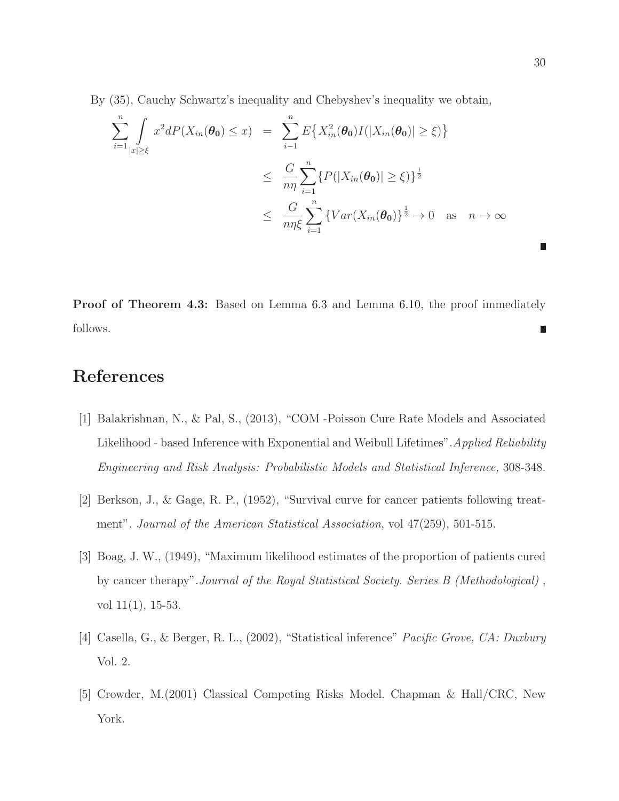By [\(35\)](#page-28-0), Cauchy Schwartz's inequality and Chebyshev's inequality we obtain,

$$
\sum_{i=1}^{n} \int_{|x| \geq \xi} x^2 dP(X_{in}(\theta_0) \leq x) = \sum_{i=1}^{n} E\{X_{in}^2(\theta_0)I(|X_{in}(\theta_0)| \geq \xi)\}
$$
  

$$
\leq \frac{G}{n\eta} \sum_{i=1}^{n} \{P(|X_{in}(\theta_0)| \geq \xi)\}^{\frac{1}{2}}
$$
  

$$
\leq \frac{G}{n\eta\xi} \sum_{i=1}^{n} \{Var(X_{in}(\theta_0))\}^{\frac{1}{2}} \to 0 \text{ as } n \to \infty
$$

**Proof of Theorem [4.3:](#page-10-2)** Based on Lemma [6.3](#page-19-1) and Lemma [6.10,](#page-27-0) the proof immediately follows.  $\overline{\phantom{a}}$ 

# <span id="page-29-3"></span>References

- [1] Balakrishnan, N., & Pal, S., (2013), "COM -Poisson Cure Rate Models and Associated Likelihood - based Inference with Exponential and Weibull Lifetimes".*Applied Reliability Engineering and Risk Analysis: Probabilistic Models and Statistical Inference,* 308-348.
- <span id="page-29-2"></span><span id="page-29-1"></span>[2] Berkson, J., & Gage, R. P., (1952), "Survival curve for cancer patients following treatment". *Journal of the American Statistical Association*, vol 47(259), 501-515.
- [3] Boag, J. W., (1949), "Maximum likelihood estimates of the proportion of patients cured by cancer therapy".*Journal of the Royal Statistical Society. Series B (Methodological)* , vol 11(1), 15-53.
- <span id="page-29-0"></span>[4] Casella, G., & Berger, R. L., (2002), "Statistical inference" *Pacific Grove, CA: Duxbury* Vol. 2.
- [5] Crowder, M.(2001) Classical Competing Risks Model. Chapman & Hall/CRC, New York.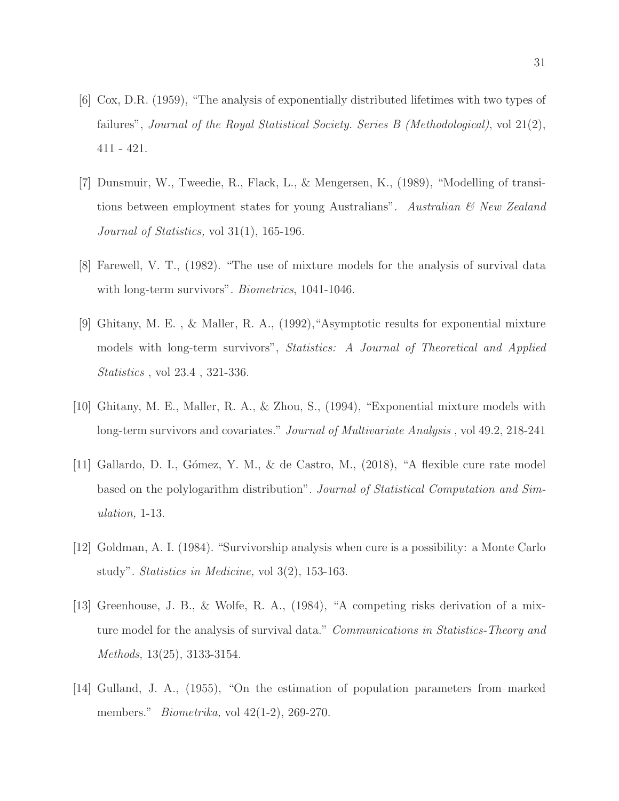- <span id="page-30-5"></span><span id="page-30-0"></span>[6] Cox, D.R. (1959), "The analysis of exponentially distributed lifetimes with two types of failures", *Journal of the Royal Statistical Society. Series B (Methodological)*, vol 21(2), 411 - 421.
- [7] Dunsmuir, W., Tweedie, R., Flack, L., & Mengersen, K., (1989), "Modelling of transitions between employment states for young Australians". *Australian & New Zealand Journal of Statistics,* vol 31(1), 165-196.
- <span id="page-30-7"></span><span id="page-30-2"></span>[8] Farewell, V. T., (1982). "The use of mixture models for the analysis of survival data with long-term survivors". *Biometrics*, 1041-1046.
- [9] Ghitany, M. E. , & Maller, R. A., (1992),"Asymptotic results for exponential mixture models with long-term survivors", *Statistics: A Journal of Theoretical and Applied Statistics* , vol 23.4 , 321-336.
- <span id="page-30-8"></span><span id="page-30-6"></span>[10] Ghitany, M. E., Maller, R. A., & Zhou, S., (1994), "Exponential mixture models with long-term survivors and covariates." *Journal of Multivariate Analysis* , vol 49.2, 218-241
- [11] Gallardo, D. I., G´omez, Y. M., & de Castro, M., (2018), "A flexible cure rate model based on the polylogarithm distribution". *Journal of Statistical Computation and Simulation,* 1-13.
- <span id="page-30-3"></span><span id="page-30-1"></span>[12] Goldman, A. I. (1984). "Survivorship analysis when cure is a possibility: a Monte Carlo study". *Statistics in Medicine,* vol 3(2), 153-163.
- [13] Greenhouse, J. B., & Wolfe, R. A., (1984), "A competing risks derivation of a mixture model for the analysis of survival data." *Communications in Statistics-Theory and Methods*, 13(25), 3133-3154.
- <span id="page-30-4"></span>[14] Gulland, J. A., (1955), "On the estimation of population parameters from marked members." *Biometrika,* vol 42(1-2), 269-270.